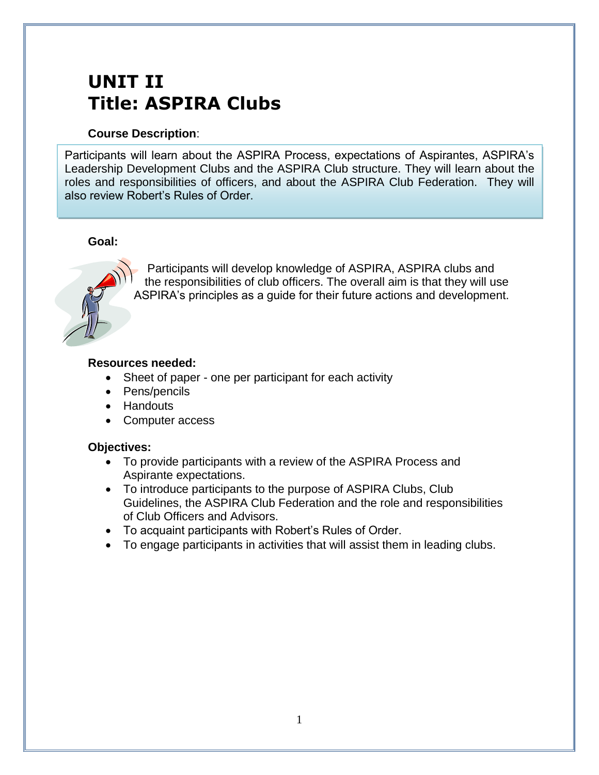# **UNIT II Title: ASPIRA Clubs**

### **Course Description**:

Participants will learn about the ASPIRA Process, expectations of Aspirantes, ASPIRA's Leadership Development Clubs and the ASPIRA Club structure. They will learn about the roles and responsibilities of officers, and about the ASPIRA Club Federation. They will also review Robert's Rules of Order.

## **Goal:**



Participants will develop knowledge of ASPIRA, ASPIRA clubs and the responsibilities of club officers. The overall aim is that they will use ASPIRA's principles as a guide for their future actions and development.

#### **Resources needed:**

- Sheet of paper one per participant for each activity
- Pens/pencils
- Handouts
- Computer access

## **Objectives:**

- To provide participants with a review of the ASPIRA Process and Aspirante expectations.
- To introduce participants to the purpose of ASPIRA Clubs, Club Guidelines, the ASPIRA Club Federation and the role and responsibilities of Club Officers and Advisors.
- To acquaint participants with Robert's Rules of Order.
- To engage participants in activities that will assist them in leading clubs.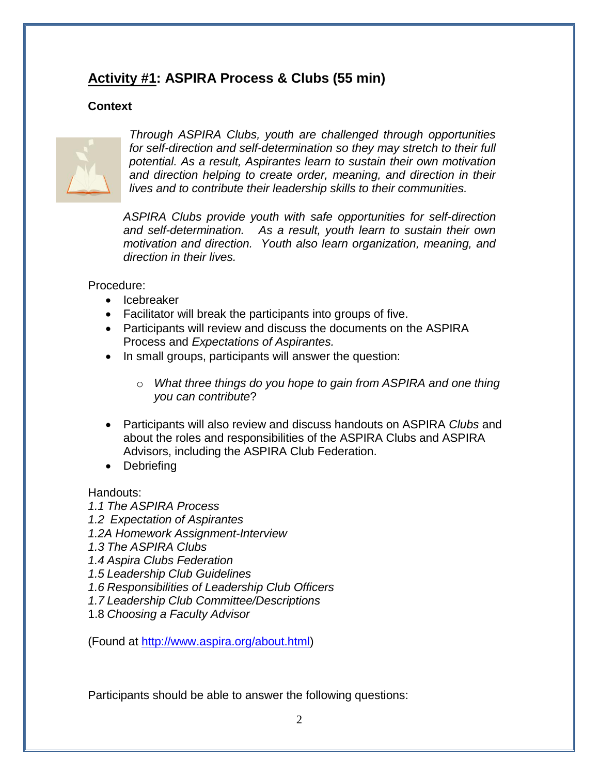## **Activity #1: ASPIRA Process & Clubs (55 min)**

## **Context**



*Through ASPIRA Clubs, youth are challenged through opportunities for self-direction and self-determination so they may stretch to their full potential. As a result, Aspirantes learn to sustain their own motivation and direction helping to create order, meaning, and direction in their lives and to contribute their leadership skills to their communities.*

*ASPIRA Clubs provide youth with safe opportunities for self-direction and self-determination. As a result, youth learn to sustain their own motivation and direction. Youth also learn organization, meaning, and direction in their lives.* 

Procedure:

- Icebreaker
- Facilitator will break the participants into groups of five.
- Participants will review and discuss the documents on the ASPIRA Process and *Expectations of Aspirantes.*
- In small groups, participants will answer the question:
	- o *What three things do you hope to gain from ASPIRA and one thing you can contribute*?
- Participants will also review and discuss handouts on ASPIRA *Clubs* and about the roles and responsibilities of the ASPIRA Clubs and ASPIRA Advisors, including the ASPIRA Club Federation.
- Debriefing

Handouts:

*1.1 The ASPIRA Process*

- *1.2 Expectation of Aspirantes*
- *1.2A Homework Assignment-Interview*
- *1.3 The ASPIRA Clubs*
- *1.4 Aspira Clubs Federation*
- *1.5 Leadership Club Guidelines*
- *1.6 Responsibilities of Leadership Club Officers*
- *1.7 Leadership Club Committee/Descriptions*
- 1.8 *Choosing a Faculty Advisor*

(Found at [http://www.aspira.org/about.html\)](http://www.aspira.org/about.html)

Participants should be able to answer the following questions: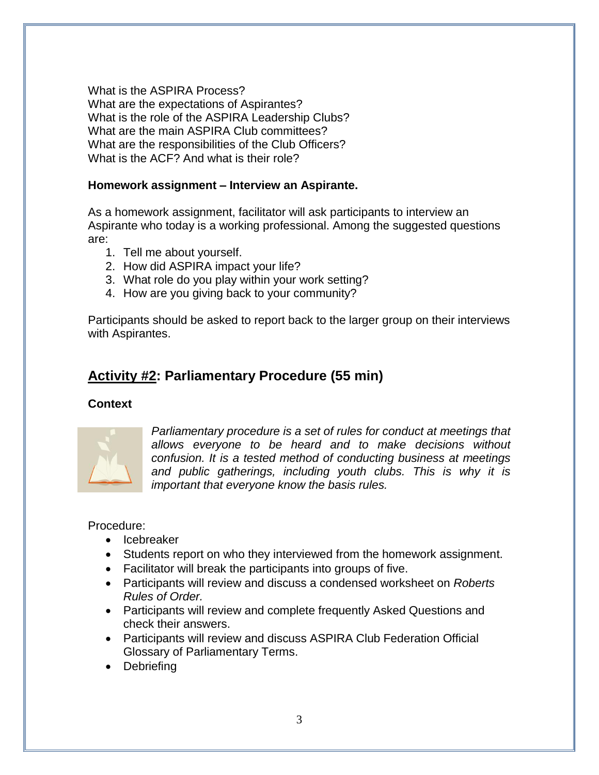What is the ASPIRA Process? What are the expectations of Aspirantes? What is the role of the ASPIRA Leadership Clubs? What are the main ASPIRA Club committees? What are the responsibilities of the Club Officers? What is the ACF? And what is their role?

### **Homework assignment – Interview an Aspirante.**

As a homework assignment, facilitator will ask participants to interview an Aspirante who today is a working professional. Among the suggested questions are:

- 1. Tell me about yourself.
- 2. How did ASPIRA impact your life?
- 3. What role do you play within your work setting?
- 4. How are you giving back to your community?

Participants should be asked to report back to the larger group on their interviews with Aspirantes.

## **Activity #2: Parliamentary Procedure (55 min)**

## **Context**



*Parliamentary procedure is a set of rules for conduct at meetings that allows everyone to be heard and to make decisions without confusion. It is a tested method of conducting business at meetings and public gatherings, including youth clubs. This is why it is important that everyone know the basis rules.*

Procedure:

- Icebreaker
- Students report on who they interviewed from the homework assignment.
- Facilitator will break the participants into groups of five.
- Participants will review and discuss a condensed worksheet on *Roberts Rules of Order.*
- Participants will review and complete frequently Asked Questions and check their answers.
- Participants will review and discuss ASPIRA Club Federation Official Glossary of Parliamentary Terms.
- Debriefing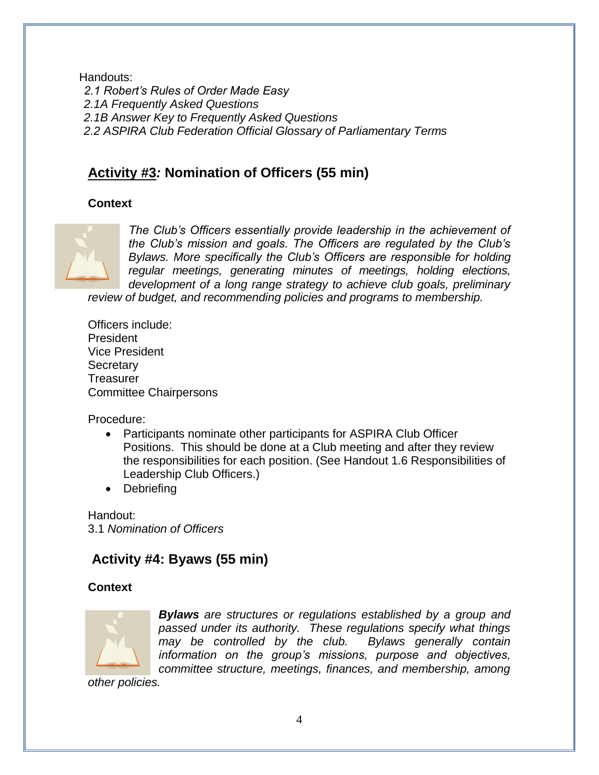Handouts: *2.1 Robert's Rules of Order Made Easy 2.1A Frequently Asked Questions 2.1B Answer Key to Frequently Asked Questions 2.2 ASPIRA Club Federation Official Glossary of Parliamentary Terms*

## **Activity #3***:* **Nomination of Officers (55 min)**

## **Context**



*The Club's Officers essentially provide leadership in the achievement of the Club's mission and goals. The Officers are regulated by the Club's Bylaws. More specifically the Club's Officers are responsible for holding regular meetings, generating minutes of meetings, holding elections, development of a long range strategy to achieve club goals, preliminary* 

*review of budget, and recommending policies and programs to membership.* 

Officers include: President Vice President **Secretary Treasurer** Committee Chairpersons

Procedure:

- Participants nominate other participants for ASPIRA Club Officer Positions. This should be done at a Club meeting and after they review the responsibilities for each position. (See Handout 1.6 Responsibilities of Leadership Club Officers.)
- Debriefing

Handout: 3.1 *Nomination of Officers*

## **Activity #4: Byaws (55 min)**

## **Context**



*Bylaws are structures or regulations established by a group and passed under its authority. These regulations specify what things may be controlled by the club. Bylaws generally contain information on the group's missions, purpose and objectives, committee structure, meetings, finances, and membership, among* 

*other policies.*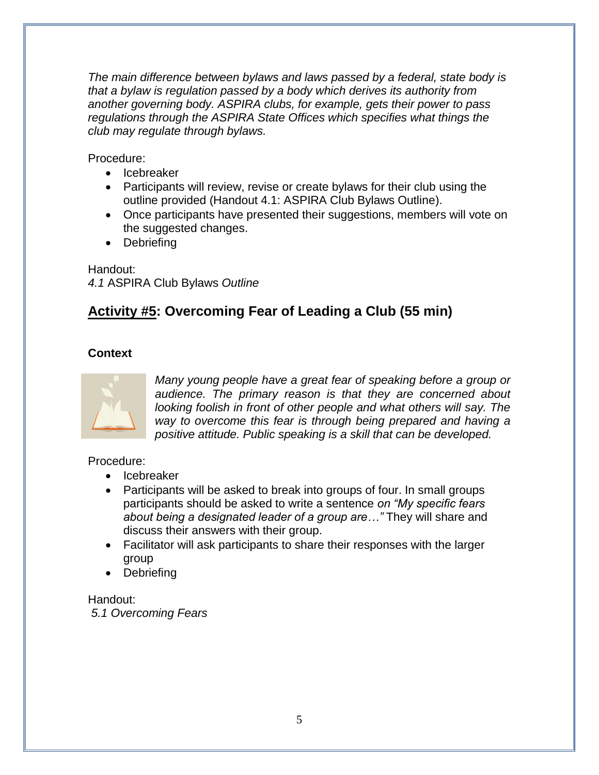*The main difference between bylaws and laws passed by a federal, state body is that a bylaw is regulation passed by a body which derives its authority from another governing body. ASPIRA clubs, for example, gets their power to pass regulations through the ASPIRA State Offices which specifies what things the club may regulate through bylaws.* 

Procedure:

- Icebreaker
- Participants will review, revise or create bylaws for their club using the outline provided (Handout 4.1: ASPIRA Club Bylaws Outline).
- Once participants have presented their suggestions, members will vote on the suggested changes.
- Debriefing

Handout: *4.1* ASPIRA Club Bylaws *Outline*

## **Activity #5: Overcoming Fear of Leading a Club (55 min)**

## **Context**



*Many young people have a great fear of speaking before a group or audience. The primary reason is that they are concerned about looking foolish in front of other people and what others will say. The way to overcome this fear is through being prepared and having a positive attitude. Public speaking is a skill that can be developed.* 

Procedure:

- Icebreaker
- Participants will be asked to break into groups of four. In small groups participants should be asked to write a sentence *on "My specific fears about being a designated leader of a group are…"* They will share and discuss their answers with their group.
- Facilitator will ask participants to share their responses with the larger group
- Debriefing

Handout: *5.1 Overcoming Fears*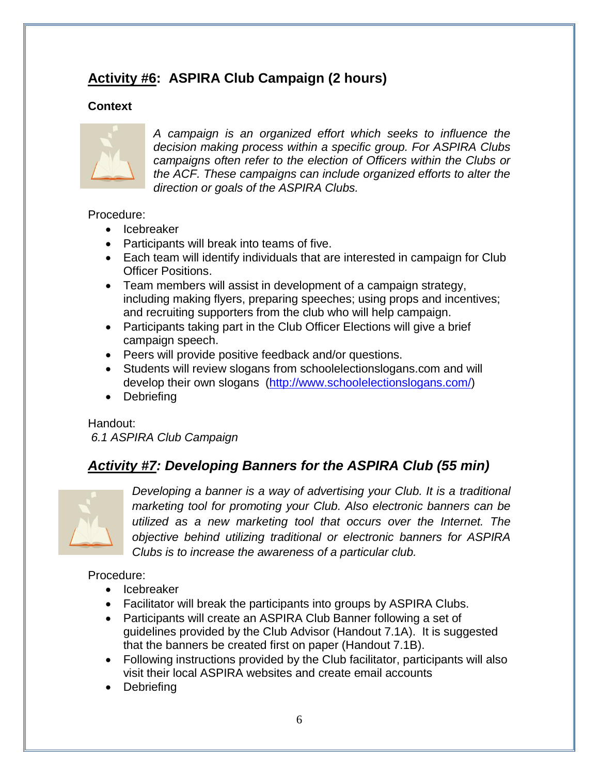## **Activity #6: ASPIRA Club Campaign (2 hours)**

## **Context**



*A campaign is an organized effort which seeks to influence the decision making process within a specific group. For ASPIRA Clubs campaigns often refer to the election of Officers within the Clubs or the ACF. These campaigns can include organized efforts to alter the direction or goals of the ASPIRA Clubs.*

### Procedure:

- Icebreaker
- Participants will break into teams of five.
- Each team will identify individuals that are interested in campaign for Club Officer Positions.
- Team members will assist in development of a campaign strategy, including making flyers, preparing speeches; using props and incentives; and recruiting supporters from the club who will help campaign.
- Participants taking part in the Club Officer Elections will give a brief campaign speech.
- Peers will provide positive feedback and/or questions.
- Students will review slogans from schoolelectionslogans.com and will develop their own slogans [\(http://www.schoolelectionslogans.com/\)](http://www.schoolelectionslogans.com/)
- Debriefing

Handout: *6.1 ASPIRA Club Campaign*

## *Activity #7: Developing Banners for the ASPIRA Club (55 min)*



*Developing a banner is a way of advertising your Club. It is a traditional marketing tool for promoting your Club. Also electronic banners can be utilized as a new marketing tool that occurs over the Internet. The objective behind utilizing traditional or electronic banners for ASPIRA Clubs is to increase the awareness of a particular club.* 

## Procedure:

- Icebreaker
- Facilitator will break the participants into groups by ASPIRA Clubs.
- Participants will create an ASPIRA Club Banner following a set of guidelines provided by the Club Advisor (Handout 7.1A). It is suggested that the banners be created first on paper (Handout 7.1B).
- Following instructions provided by the Club facilitator, participants will also visit their local ASPIRA websites and create email accounts
- Debriefing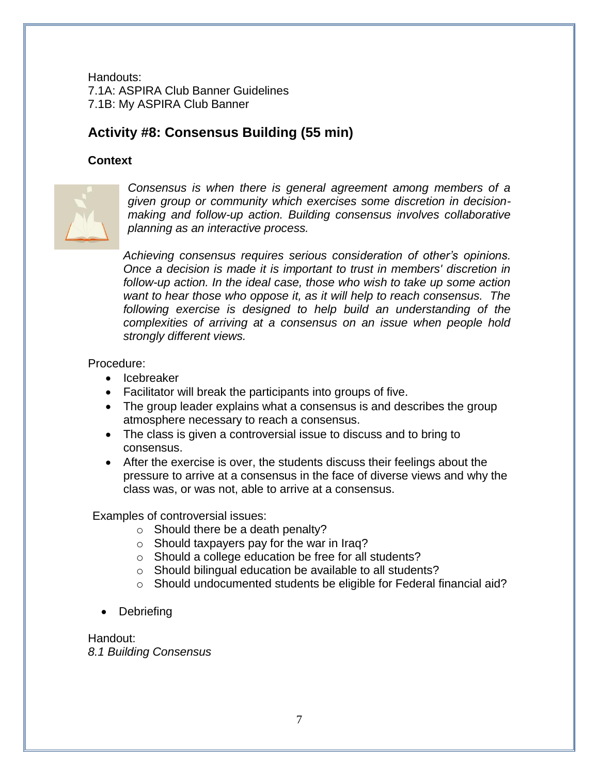Handouts: 7.1A: ASPIRA Club Banner Guidelines 7.1B: My ASPIRA Club Banner

## **Activity #8: Consensus Building (55 min)**

#### **Context**



*Consensus is when there is general agreement among members of a given group or community which exercises some discretion in decisionmaking and follow-up action. Building consensus involves collaborative planning as an interactive process.* 

*Achieving consensus requires serious consideration of other's opinions. Once a decision is made it is important to trust in members' discretion in follow-up action. In the ideal case, those who wish to take up some action want to hear those who oppose it, as it will help to reach consensus. The following exercise is designed to help build an understanding of the complexities of arriving at a consensus on an issue when people hold strongly different views.*

#### Procedure:

- Icebreaker
- Facilitator will break the participants into groups of five.
- The group leader explains what a consensus is and describes the group atmosphere necessary to reach a consensus.
- The class is given a controversial issue to discuss and to bring to consensus.
- After the exercise is over, the students discuss their feelings about the pressure to arrive at a consensus in the face of diverse views and why the class was, or was not, able to arrive at a consensus.

Examples of controversial issues:

- o Should there be a death penalty?
- o Should taxpayers pay for the war in Iraq?
- o Should a college education be free for all students?
- o Should bilingual education be available to all students?
- o Should undocumented students be eligible for Federal financial aid?
- Debriefing

Handout: *8.1 Building Consensus*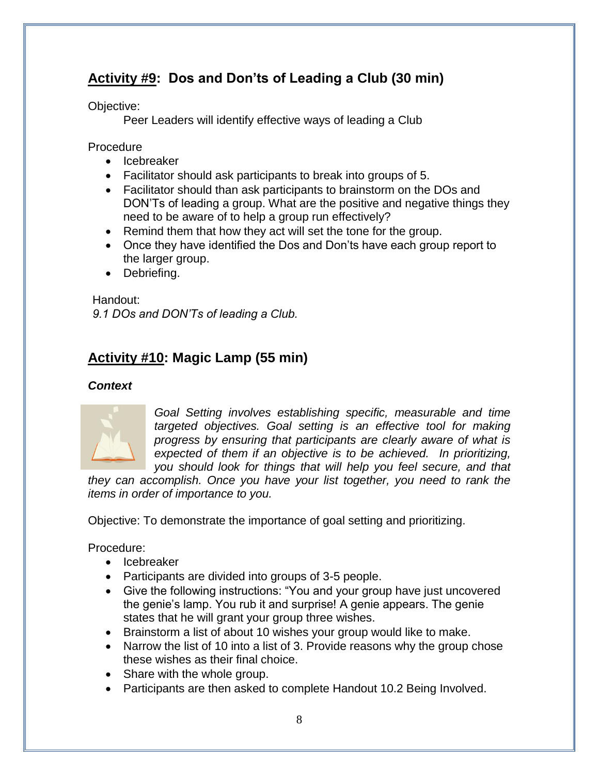## **Activity #9: Dos and Don'ts of Leading a Club (30 min)**

Objective:

Peer Leaders will identify effective ways of leading a Club

Procedure

- Icebreaker
- Facilitator should ask participants to break into groups of 5.
- Facilitator should than ask participants to brainstorm on the DOs and DON'Ts of leading a group. What are the positive and negative things they need to be aware of to help a group run effectively?
- Remind them that how they act will set the tone for the group.
- Once they have identified the Dos and Don'ts have each group report to the larger group.
- Debriefing.

Handout:

*9.1 DOs and DON'Ts of leading a Club.*

## **Activity #10: Magic Lamp (55 min)**

## *Context*



*Goal Setting involves establishing specific, measurable and time targeted objectives. Goal setting is an effective tool for making progress by ensuring that participants are clearly aware of what is expected of them if an objective is to be achieved. In prioritizing, you should look for things that will help you feel secure, and that* 

*they can accomplish. Once you have your list together, you need to rank the items in order of importance to you.*

Objective: To demonstrate the importance of goal setting and prioritizing.

Procedure:

- Icebreaker
- Participants are divided into groups of 3-5 people.
- Give the following instructions: "You and your group have just uncovered the genie's lamp. You rub it and surprise! A genie appears. The genie states that he will grant your group three wishes.
- Brainstorm a list of about 10 wishes your group would like to make.
- Narrow the list of 10 into a list of 3. Provide reasons why the group chose these wishes as their final choice.
- Share with the whole group.
- Participants are then asked to complete Handout 10.2 Being Involved.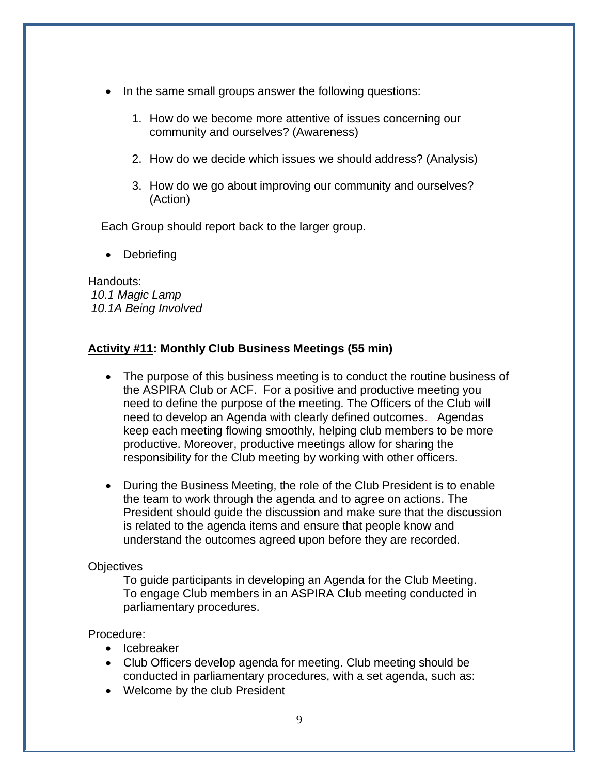- In the same small groups answer the following questions:
	- 1. How do we become more attentive of issues concerning our community and ourselves? (Awareness)
	- 2. How do we decide which issues we should address? (Analysis)
	- 3. How do we go about improving our community and ourselves? (Action)

Each Group should report back to the larger group.

**Debriefing** 

Handouts: *10.1 Magic Lamp 10.1A Being Involved*

### **Activity #11: Monthly Club Business Meetings (55 min)**

- The purpose of this business meeting is to conduct the routine business of the ASPIRA Club or ACF. For a positive and productive meeting you need to define the purpose of the meeting. The Officers of the Club will need to develop an Agenda with clearly defined outcomes. Agendas keep each meeting flowing smoothly, helping club members to be more productive. Moreover, productive meetings allow for sharing the responsibility for the Club meeting by working with other officers.
- During the Business Meeting, the role of the Club President is to enable the team to work through the agenda and to agree on actions. The President should guide the discussion and make sure that the discussion is related to the agenda items and ensure that people know and understand the outcomes agreed upon before they are recorded.

#### **Objectives**

To guide participants in developing an Agenda for the Club Meeting. To engage Club members in an ASPIRA Club meeting conducted in parliamentary procedures.

#### Procedure:

- Icebreaker
- Club Officers develop agenda for meeting. Club meeting should be conducted in parliamentary procedures, with a set agenda, such as:
- Welcome by the club President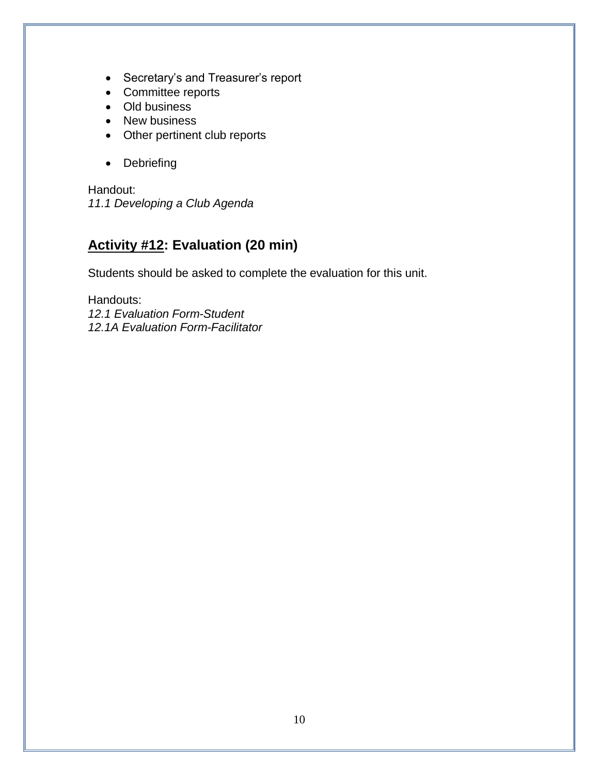- Secretary's and Treasurer's report
- Committee reports
- Old business
- New business
- Other pertinent club reports
- Debriefing

Handout: *11.1 Developing a Club Agenda*

# **Activity #12: Evaluation (20 min)**

Students should be asked to complete the evaluation for this unit.

Handouts: *12.1 Evaluation Form-Student 12.1A Evaluation Form-Facilitator*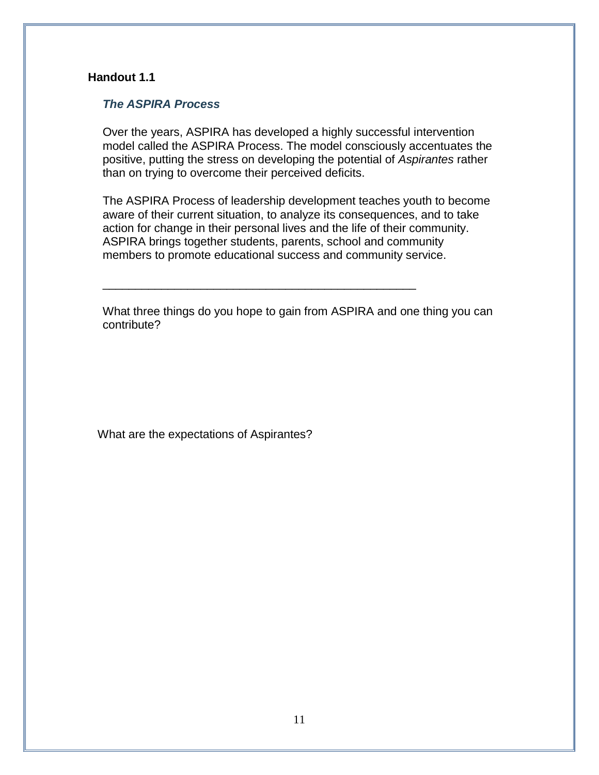#### *The ASPIRA Process*

Over the years, ASPIRA has developed a highly successful intervention model called the ASPIRA Process. The model consciously accentuates the positive, putting the stress on developing the potential of *Aspirantes* rather than on trying to overcome their perceived deficits.

The ASPIRA Process of leadership development teaches youth to become aware of their current situation, to analyze its consequences, and to take action for change in their personal lives and the life of their community. ASPIRA brings together students, parents, school and community members to promote educational success and community service.

What three things do you hope to gain from ASPIRA and one thing you can contribute?

\_\_\_\_\_\_\_\_\_\_\_\_\_\_\_\_\_\_\_\_\_\_\_\_\_\_\_\_\_\_\_\_\_\_\_\_\_\_\_\_\_\_\_\_\_\_\_\_

What are the expectations of Aspirantes?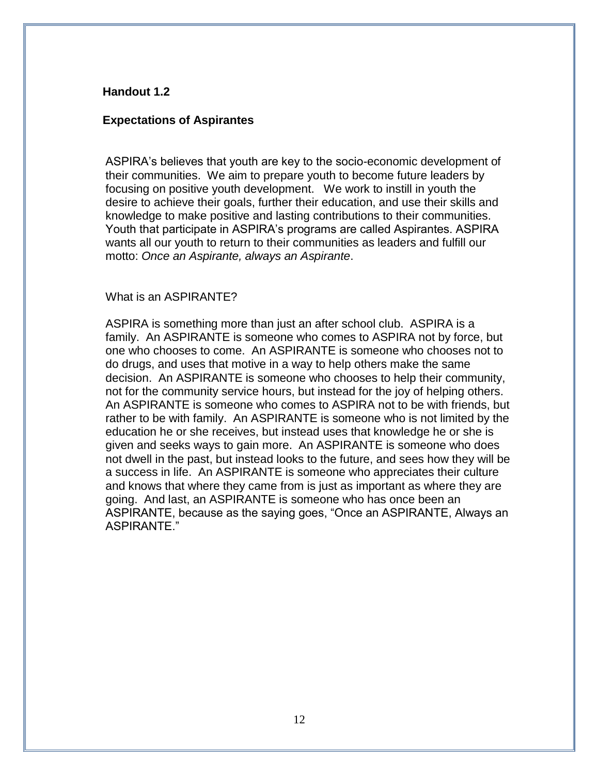#### **Expectations of Aspirantes**

ASPIRA's believes that youth are key to the socio-economic development of their communities. We aim to prepare youth to become future leaders by focusing on positive youth development. We work to instill in youth the desire to achieve their goals, further their education, and use their skills and knowledge to make positive and lasting contributions to their communities. Youth that participate in ASPIRA's programs are called Aspirantes. ASPIRA wants all our youth to return to their communities as leaders and fulfill our motto: *Once an Aspirante, always an Aspirante*.

#### What is an ASPIRANTE?

ASPIRA is something more than just an after school club. ASPIRA is a family. An ASPIRANTE is someone who comes to ASPIRA not by force, but one who chooses to come. An ASPIRANTE is someone who chooses not to do drugs, and uses that motive in a way to help others make the same decision. An ASPIRANTE is someone who chooses to help their community, not for the community service hours, but instead for the joy of helping others. An ASPIRANTE is someone who comes to ASPIRA not to be with friends, but rather to be with family. An ASPIRANTE is someone who is not limited by the education he or she receives, but instead uses that knowledge he or she is given and seeks ways to gain more. An ASPIRANTE is someone who does not dwell in the past, but instead looks to the future, and sees how they will be a success in life. An ASPIRANTE is someone who appreciates their culture and knows that where they came from is just as important as where they are going. And last, an ASPIRANTE is someone who has once been an ASPIRANTE, because as the saying goes, "Once an ASPIRANTE, Always an ASPIRANTE."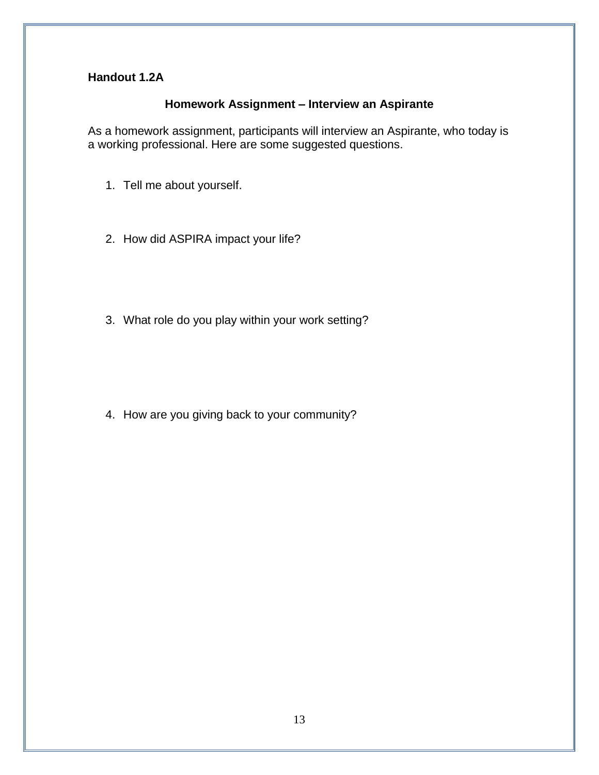### **Homework Assignment – Interview an Aspirante**

As a homework assignment, participants will interview an Aspirante, who today is a working professional. Here are some suggested questions.

- 1. Tell me about yourself.
- 2. How did ASPIRA impact your life?
- 3. What role do you play within your work setting?

4. How are you giving back to your community?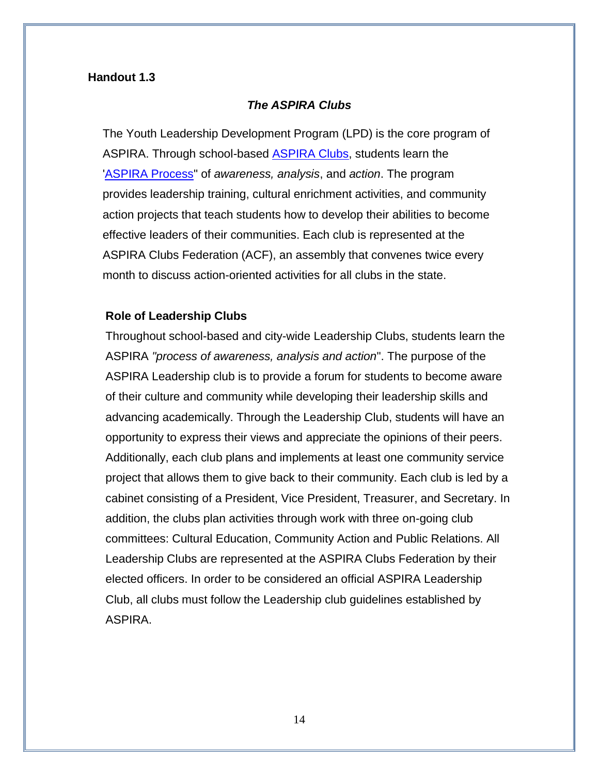#### *The ASPIRA Clubs*

The Youth Leadership Development Program (LPD) is the core program of ASPIRA. Through school-based [ASPIRA Clubs,](http://www.aspira.org/about/aspira_club.htm) students learn the ['ASPIRA Process"](http://www.aspira.org/about/club.htm#TheASPIRA%20Process#TheASPIRA%20Process) of *awareness, analysis*, and *action*. The program provides leadership training, cultural enrichment activities, and community action projects that teach students how to develop their abilities to become effective leaders of their communities. Each club is represented at the ASPIRA Clubs Federation (ACF), an assembly that convenes twice every month to discuss action-oriented activities for all clubs in the state.

#### **Role of Leadership Clubs**

Throughout school-based and city-wide Leadership Clubs, students learn the ASPIRA *"process of awareness, analysis and action*". The purpose of the ASPIRA Leadership club is to provide a forum for students to become aware of their culture and community while developing their leadership skills and advancing academically. Through the Leadership Club, students will have an opportunity to express their views and appreciate the opinions of their peers. Additionally, each club plans and implements at least one community service project that allows them to give back to their community. Each club is led by a cabinet consisting of a President, Vice President, Treasurer, and Secretary. In addition, the clubs plan activities through work with three on-going club committees: Cultural Education, Community Action and Public Relations. All Leadership Clubs are represented at the ASPIRA Clubs Federation by their elected officers. In order to be considered an official ASPIRA Leadership Club, all clubs must follow the Leadership club guidelines established by ASPIRA.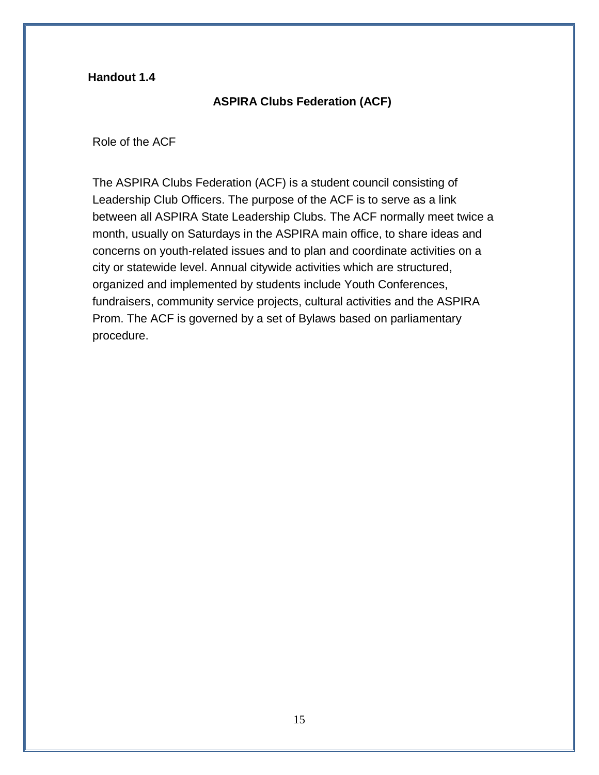## **ASPIRA Clubs Federation (ACF)**

#### Role of the ACF

The ASPIRA Clubs Federation (ACF) is a student council consisting of Leadership Club Officers. The purpose of the ACF is to serve as a link between all ASPIRA State Leadership Clubs. The ACF normally meet twice a month, usually on Saturdays in the ASPIRA main office, to share ideas and concerns on youth-related issues and to plan and coordinate activities on a city or statewide level. Annual citywide activities which are structured, organized and implemented by students include Youth Conferences, fundraisers, community service projects, cultural activities and the ASPIRA Prom. The ACF is governed by a set of Bylaws based on parliamentary procedure.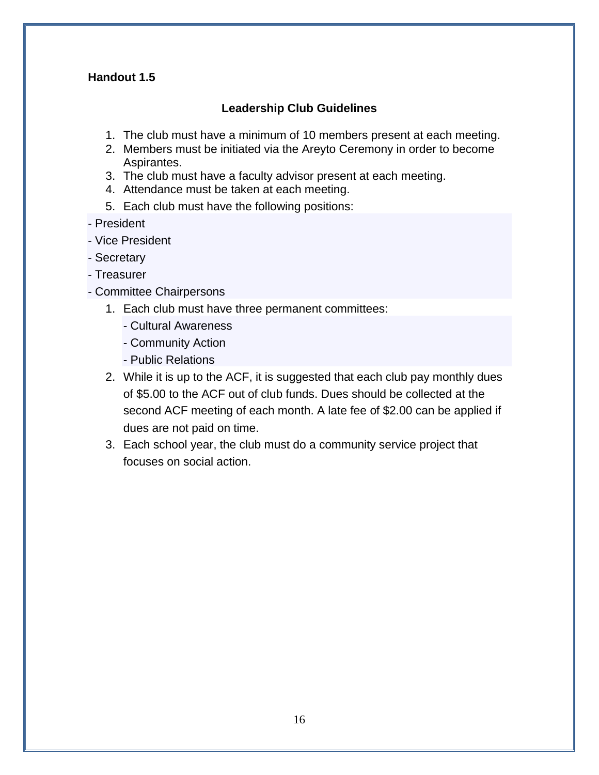## **Leadership Club Guidelines**

- 1. The club must have a minimum of 10 members present at each meeting.
- 2. Members must be initiated via the Areyto Ceremony in order to become Aspirantes.
- 3. The club must have a faculty advisor present at each meeting.
- 4. Attendance must be taken at each meeting.
- 5. Each club must have the following positions:
- President
- Vice President
- Secretary
- Treasurer
- Committee Chairpersons
	- 1. Each club must have three permanent committees:
		- Cultural Awareness
		- Community Action
		- Public Relations
	- 2. While it is up to the ACF, it is suggested that each club pay monthly dues of \$5.00 to the ACF out of club funds. Dues should be collected at the second ACF meeting of each month. A late fee of \$2.00 can be applied if dues are not paid on time.
	- 3. Each school year, the club must do a community service project that focuses on social action.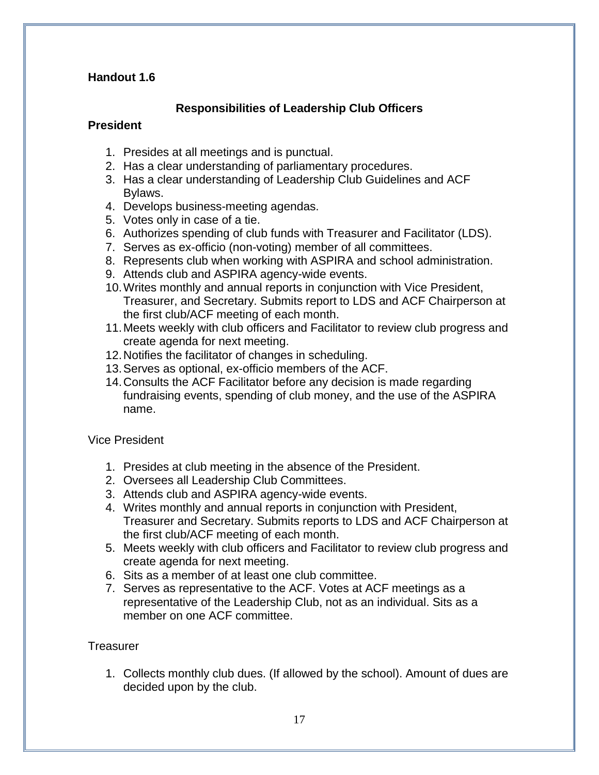## **Responsibilities of Leadership Club Officers**

#### **President**

- 1. Presides at all meetings and is punctual.
- 2. Has a clear understanding of parliamentary procedures.
- 3. Has a clear understanding of Leadership Club Guidelines and ACF Bylaws.
- 4. Develops business-meeting agendas.
- 5. Votes only in case of a tie.
- 6. Authorizes spending of club funds with Treasurer and Facilitator (LDS).
- 7. Serves as ex-officio (non-voting) member of all committees.
- 8. Represents club when working with ASPIRA and school administration.
- 9. Attends club and ASPIRA agency-wide events.
- 10.Writes monthly and annual reports in conjunction with Vice President, Treasurer, and Secretary. Submits report to LDS and ACF Chairperson at the first club/ACF meeting of each month.
- 11.Meets weekly with club officers and Facilitator to review club progress and create agenda for next meeting.
- 12.Notifies the facilitator of changes in scheduling.
- 13.Serves as optional, ex-officio members of the ACF.
- 14.Consults the ACF Facilitator before any decision is made regarding fundraising events, spending of club money, and the use of the ASPIRA name.

Vice President

- 1. Presides at club meeting in the absence of the President.
- 2. Oversees all Leadership Club Committees.
- 3. Attends club and ASPIRA agency-wide events.
- 4. Writes monthly and annual reports in conjunction with President, Treasurer and Secretary. Submits reports to LDS and ACF Chairperson at the first club/ACF meeting of each month.
- 5. Meets weekly with club officers and Facilitator to review club progress and create agenda for next meeting.
- 6. Sits as a member of at least one club committee.
- 7. Serves as representative to the ACF. Votes at ACF meetings as a representative of the Leadership Club, not as an individual. Sits as a member on one ACF committee.

## **Treasurer**

1. Collects monthly club dues. (If allowed by the school). Amount of dues are decided upon by the club.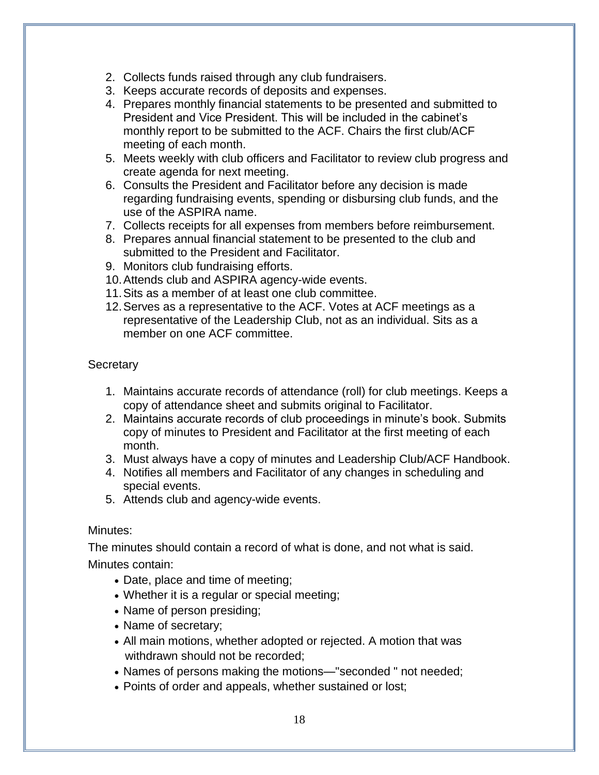- 2. Collects funds raised through any club fundraisers.
- 3. Keeps accurate records of deposits and expenses.
- 4. Prepares monthly financial statements to be presented and submitted to President and Vice President. This will be included in the cabinet's monthly report to be submitted to the ACF. Chairs the first club/ACF meeting of each month.
- 5. Meets weekly with club officers and Facilitator to review club progress and create agenda for next meeting.
- 6. Consults the President and Facilitator before any decision is made regarding fundraising events, spending or disbursing club funds, and the use of the ASPIRA name.
- 7. Collects receipts for all expenses from members before reimbursement.
- 8. Prepares annual financial statement to be presented to the club and submitted to the President and Facilitator.
- 9. Monitors club fundraising efforts.
- 10.Attends club and ASPIRA agency-wide events.
- 11.Sits as a member of at least one club committee.
- 12.Serves as a representative to the ACF. Votes at ACF meetings as a representative of the Leadership Club, not as an individual. Sits as a member on one ACF committee.

**Secretary** 

- 1. Maintains accurate records of attendance (roll) for club meetings. Keeps a copy of attendance sheet and submits original to Facilitator.
- 2. Maintains accurate records of club proceedings in minute's book. Submits copy of minutes to President and Facilitator at the first meeting of each month.
- 3. Must always have a copy of minutes and Leadership Club/ACF Handbook.
- 4. Notifies all members and Facilitator of any changes in scheduling and special events.
- 5. Attends club and agency-wide events.

## Minutes:

The minutes should contain a record of what is done, and not what is said. Minutes contain:

- Date, place and time of meeting;
- Whether it is a regular or special meeting;
- Name of person presiding;
- Name of secretary;
- All main motions, whether adopted or rejected. A motion that was withdrawn should not be recorded;
- Names of persons making the motions—"seconded " not needed;
- Points of order and appeals, whether sustained or lost;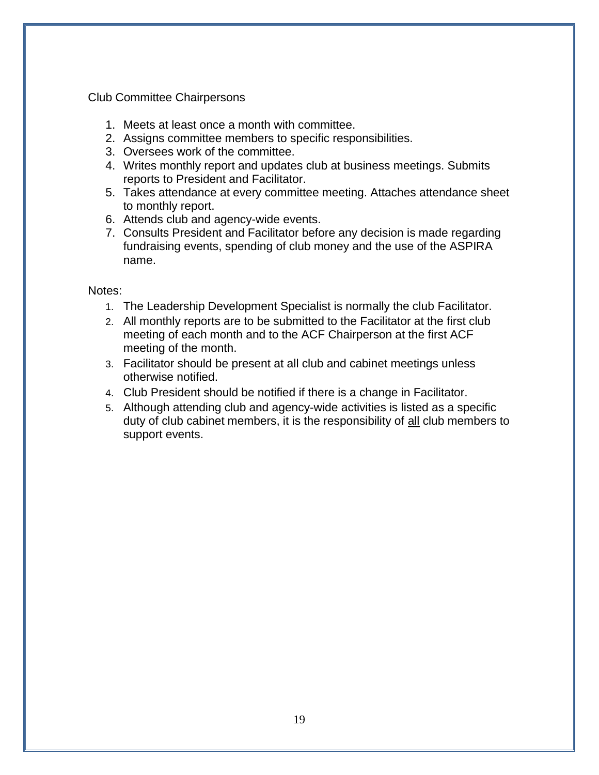#### Club Committee Chairpersons

- 1. Meets at least once a month with committee.
- 2. Assigns committee members to specific responsibilities.
- 3. Oversees work of the committee.
- 4. Writes monthly report and updates club at business meetings. Submits reports to President and Facilitator.
- 5. Takes attendance at every committee meeting. Attaches attendance sheet to monthly report.
- 6. Attends club and agency-wide events.
- 7. Consults President and Facilitator before any decision is made regarding fundraising events, spending of club money and the use of the ASPIRA name.

#### Notes:

- 1. The Leadership Development Specialist is normally the club Facilitator.
- 2. All monthly reports are to be submitted to the Facilitator at the first club meeting of each month and to the ACF Chairperson at the first ACF meeting of the month.
- 3. Facilitator should be present at all club and cabinet meetings unless otherwise notified.
- 4. Club President should be notified if there is a change in Facilitator.
- 5. Although attending club and agency-wide activities is listed as a specific duty of club cabinet members, it is the responsibility of all club members to support events.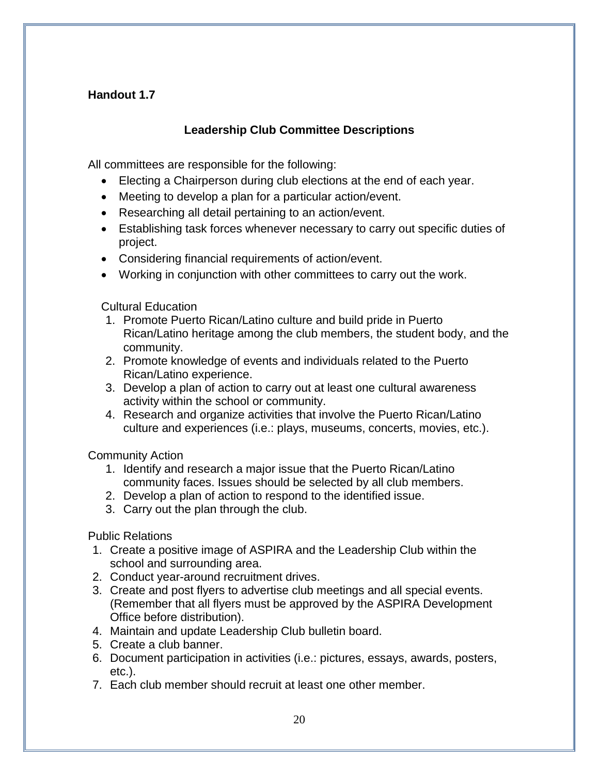## **Leadership Club Committee Descriptions**

All committees are responsible for the following:

- Electing a Chairperson during club elections at the end of each year.
- Meeting to develop a plan for a particular action/event.
- Researching all detail pertaining to an action/event.
- Establishing task forces whenever necessary to carry out specific duties of project.
- Considering financial requirements of action/event.
- Working in conjunction with other committees to carry out the work.

Cultural Education

- 1. Promote Puerto Rican/Latino culture and build pride in Puerto Rican/Latino heritage among the club members, the student body, and the community.
- 2. Promote knowledge of events and individuals related to the Puerto Rican/Latino experience.
- 3. Develop a plan of action to carry out at least one cultural awareness activity within the school or community.
- 4. Research and organize activities that involve the Puerto Rican/Latino culture and experiences (i.e.: plays, museums, concerts, movies, etc.).

Community Action

- 1. Identify and research a major issue that the Puerto Rican/Latino community faces. Issues should be selected by all club members.
- 2. Develop a plan of action to respond to the identified issue.
- 3. Carry out the plan through the club.

Public Relations

- 1. Create a positive image of ASPIRA and the Leadership Club within the school and surrounding area.
- 2. Conduct year-around recruitment drives.
- 3. Create and post flyers to advertise club meetings and all special events. (Remember that all flyers must be approved by the ASPIRA Development Office before distribution).
- 4. Maintain and update Leadership Club bulletin board.
- 5. Create a club banner.
- 6. Document participation in activities (i.e.: pictures, essays, awards, posters, etc.).
- 7. Each club member should recruit at least one other member.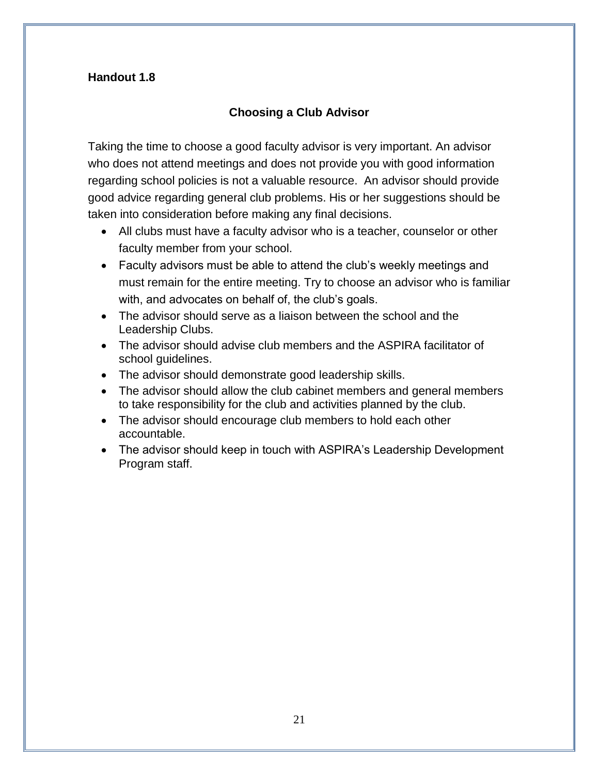## **Choosing a Club Advisor**

Taking the time to choose a good faculty advisor is very important. An advisor who does not attend meetings and does not provide you with good information regarding school policies is not a valuable resource. An advisor should provide good advice regarding general club problems. His or her suggestions should be taken into consideration before making any final decisions.

- All clubs must have a faculty advisor who is a teacher, counselor or other faculty member from your school.
- Faculty advisors must be able to attend the club's weekly meetings and must remain for the entire meeting. Try to choose an advisor who is familiar with, and advocates on behalf of, the club's goals.
- The advisor should serve as a liaison between the school and the Leadership Clubs.
- The advisor should advise club members and the ASPIRA facilitator of school guidelines.
- The advisor should demonstrate good leadership skills.
- The advisor should allow the club cabinet members and general members to take responsibility for the club and activities planned by the club.
- The advisor should encourage club members to hold each other accountable.
- The advisor should keep in touch with ASPIRA's Leadership Development Program staff.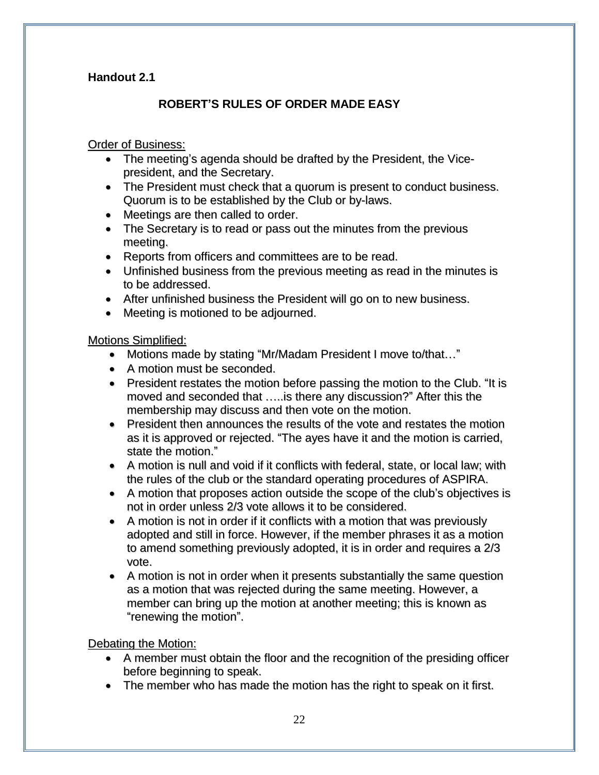## **Handout 2.1**

## **ROBERT'S RULES OF ORDER MADE EASY**

### Order of Business:

- The meeting's agenda should be drafted by the President, the Vicepresident, and the Secretary.
- The President must check that a quorum is present to conduct business. Quorum is to be established by the Club or by-laws.
- Meetings are then called to order.
- The Secretary is to read or pass out the minutes from the previous meeting.
- Reports from officers and committees are to be read.
- Unfinished business from the previous meeting as read in the minutes is to be addressed.
- After unfinished business the President will go on to new business.
- Meeting is motioned to be adjourned.

#### Motions Simplified:

- Motions made by stating "Mr/Madam President I move to/that…"
- A motion must be seconded.
- President restates the motion before passing the motion to the Club. "It is moved and seconded that …..is there any discussion?" After this the membership may discuss and then vote on the motion.
- President then announces the results of the vote and restates the motion as it is approved or rejected. "The ayes have it and the motion is carried, state the motion."
- A motion is null and void if it conflicts with federal, state, or local law; with the rules of the club or the standard operating procedures of ASPIRA.
- A motion that proposes action outside the scope of the club's objectives is not in order unless 2/3 vote allows it to be considered.
- A motion is not in order if it conflicts with a motion that was previously adopted and still in force. However, if the member phrases it as a motion to amend something previously adopted, it is in order and requires a 2/3 vote.
- A motion is not in order when it presents substantially the same question as a motion that was rejected during the same meeting. However, a member can bring up the motion at another meeting; this is known as "renewing the motion".

## Debating the Motion:

- A member must obtain the floor and the recognition of the presiding officer before beginning to speak.
- The member who has made the motion has the right to speak on it first.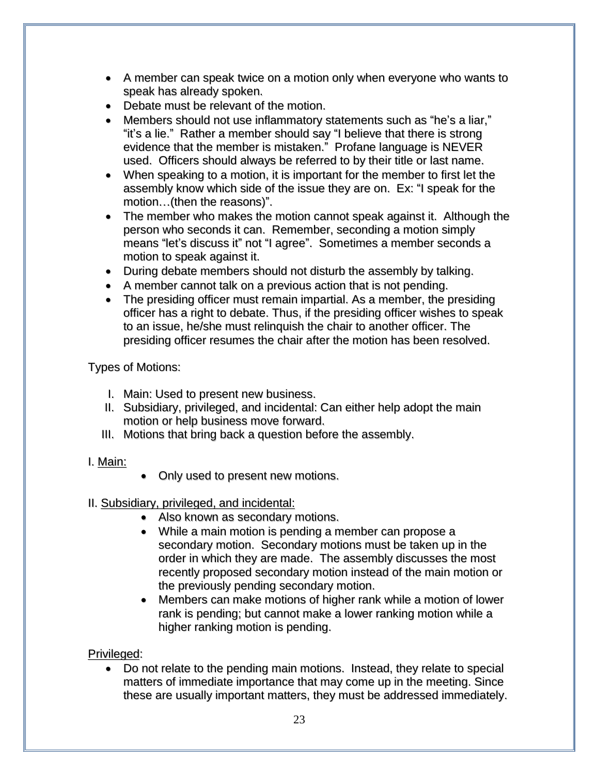- A member can speak twice on a motion only when everyone who wants to speak has already spoken.
- Debate must be relevant of the motion.
- Members should not use inflammatory statements such as "he's a liar," "it's a lie." Rather a member should say "I believe that there is strong evidence that the member is mistaken." Profane language is NEVER used. Officers should always be referred to by their title or last name.
- When speaking to a motion, it is important for the member to first let the assembly know which side of the issue they are on. Ex: "I speak for the motion…(then the reasons)".
- The member who makes the motion cannot speak against it. Although the person who seconds it can. Remember, seconding a motion simply means "let's discuss it" not "I agree". Sometimes a member seconds a motion to speak against it.
- During debate members should not disturb the assembly by talking.
- A member cannot talk on a previous action that is not pending.
- The presiding officer must remain impartial. As a member, the presiding officer has a right to debate. Thus, if the presiding officer wishes to speak to an issue, he/she must relinquish the chair to another officer. The presiding officer resumes the chair after the motion has been resolved.

Types of Motions:

- I. Main: Used to present new business.
- II. Subsidiary, privileged, and incidental: Can either help adopt the main motion or help business move forward.
- III. Motions that bring back a question before the assembly.
- I. Main:
- Only used to present new motions.
- II. Subsidiary, privileged, and incidental:
	- Also known as secondary motions.
	- While a main motion is pending a member can propose a secondary motion. Secondary motions must be taken up in the order in which they are made. The assembly discusses the most recently proposed secondary motion instead of the main motion or the previously pending secondary motion.
	- Members can make motions of higher rank while a motion of lower rank is pending; but cannot make a lower ranking motion while a higher ranking motion is pending.

## Privileged:

 Do not relate to the pending main motions. Instead, they relate to special matters of immediate importance that may come up in the meeting. Since these are usually important matters, they must be addressed immediately.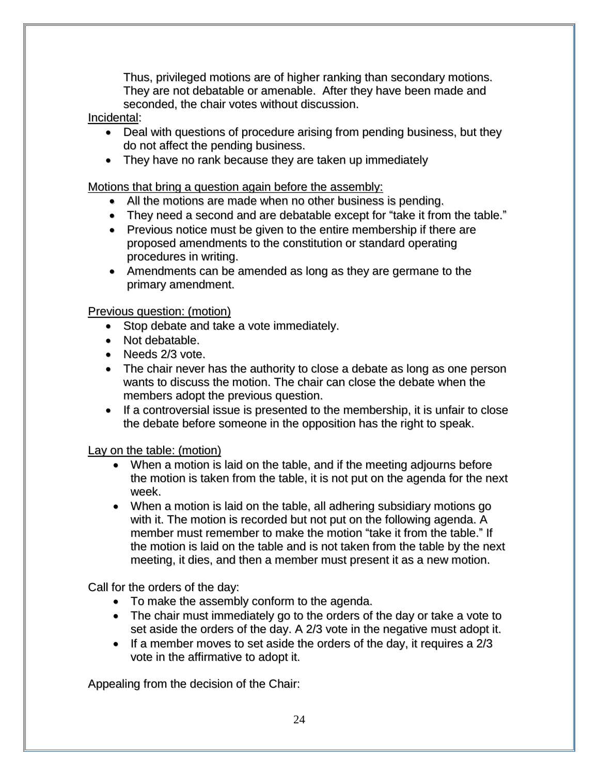Thus, privileged motions are of higher ranking than secondary motions. They are not debatable or amenable. After they have been made and seconded, the chair votes without discussion.

### Incidental:

- Deal with questions of procedure arising from pending business, but they do not affect the pending business.
- They have no rank because they are taken up immediately

Motions that bring a question again before the assembly:

- All the motions are made when no other business is pending.
- They need a second and are debatable except for "take it from the table."
- Previous notice must be given to the entire membership if there are proposed amendments to the constitution or standard operating procedures in writing.
- Amendments can be amended as long as they are germane to the primary amendment.

#### Previous question: (motion)

- Stop debate and take a vote immediately.
- Not debatable.
- Needs 2/3 vote.
- The chair never has the authority to close a debate as long as one person wants to discuss the motion. The chair can close the debate when the members adopt the previous question.
- If a controversial issue is presented to the membership, it is unfair to close the debate before someone in the opposition has the right to speak.

Lay on the table: (motion)

- When a motion is laid on the table, and if the meeting adjourns before the motion is taken from the table, it is not put on the agenda for the next week.
- When a motion is laid on the table, all adhering subsidiary motions go with it. The motion is recorded but not put on the following agenda. A member must remember to make the motion "take it from the table." If the motion is laid on the table and is not taken from the table by the next meeting, it dies, and then a member must present it as a new motion.

Call for the orders of the day:

- To make the assembly conform to the agenda.
- The chair must immediately go to the orders of the day or take a vote to set aside the orders of the day. A 2/3 vote in the negative must adopt it.
- $\bullet$  If a member moves to set aside the orders of the day, it requires a 2/3 vote in the affirmative to adopt it.

Appealing from the decision of the Chair: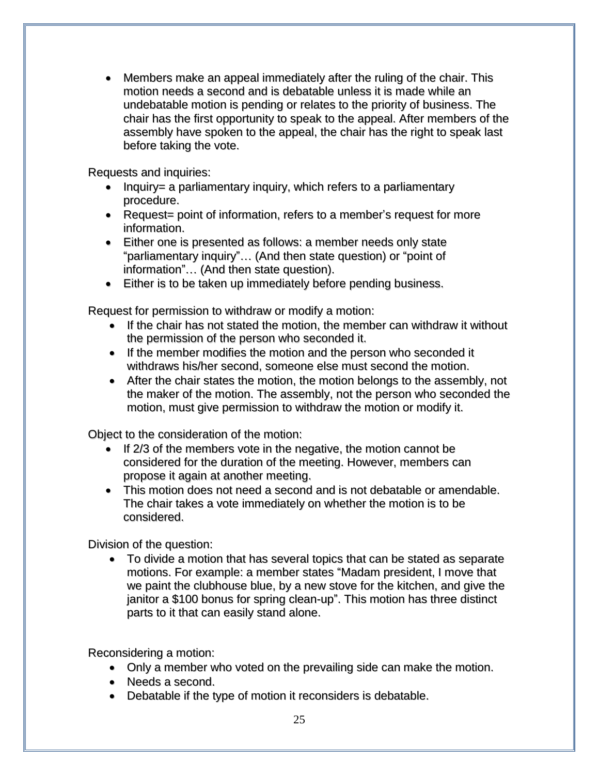Members make an appeal immediately after the ruling of the chair. This motion needs a second and is debatable unless it is made while an undebatable motion is pending or relates to the priority of business. The chair has the first opportunity to speak to the appeal. After members of the assembly have spoken to the appeal, the chair has the right to speak last before taking the vote.

Requests and inquiries:

- $\bullet$  Inquiry= a parliamentary inquiry, which refers to a parliamentary procedure.
- Request= point of information, refers to a member's request for more information.
- Either one is presented as follows: a member needs only state "parliamentary inquiry"… (And then state question) or "point of information"… (And then state question).
- Either is to be taken up immediately before pending business.

Request for permission to withdraw or modify a motion:

- If the chair has not stated the motion, the member can withdraw it without the permission of the person who seconded it.
- If the member modifies the motion and the person who seconded it withdraws his/her second, someone else must second the motion.
- After the chair states the motion, the motion belongs to the assembly, not the maker of the motion. The assembly, not the person who seconded the motion, must give permission to withdraw the motion or modify it.

Object to the consideration of the motion:

- If 2/3 of the members vote in the negative, the motion cannot be considered for the duration of the meeting. However, members can propose it again at another meeting.
- This motion does not need a second and is not debatable or amendable. The chair takes a vote immediately on whether the motion is to be considered.

Division of the question:

 To divide a motion that has several topics that can be stated as separate motions. For example: a member states "Madam president, I move that we paint the clubhouse blue, by a new stove for the kitchen, and give the janitor a \$100 bonus for spring clean-up". This motion has three distinct parts to it that can easily stand alone.

Reconsidering a motion:

- Only a member who voted on the prevailing side can make the motion.
- Needs a second.
- Debatable if the type of motion it reconsiders is debatable.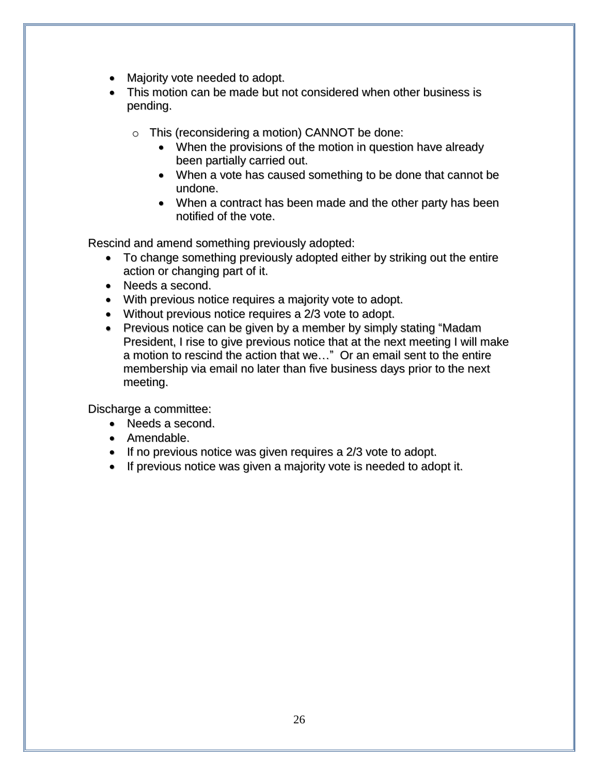- Majority vote needed to adopt.
- This motion can be made but not considered when other business is pending.
	- o This (reconsidering a motion) CANNOT be done:
		- When the provisions of the motion in question have already been partially carried out.
		- When a vote has caused something to be done that cannot be undone.
		- When a contract has been made and the other party has been notified of the vote.

Rescind and amend something previously adopted:

- To change something previously adopted either by striking out the entire action or changing part of it.
- Needs a second.
- With previous notice requires a majority vote to adopt.
- Without previous notice requires a 2/3 vote to adopt.
- Previous notice can be given by a member by simply stating "Madam" President, I rise to give previous notice that at the next meeting I will make a motion to rescind the action that we…" Or an email sent to the entire membership via email no later than five business days prior to the next meeting.

Discharge a committee:

- Needs a second.
- Amendable.
- If no previous notice was given requires a 2/3 vote to adopt.
- If previous notice was given a majority vote is needed to adopt it.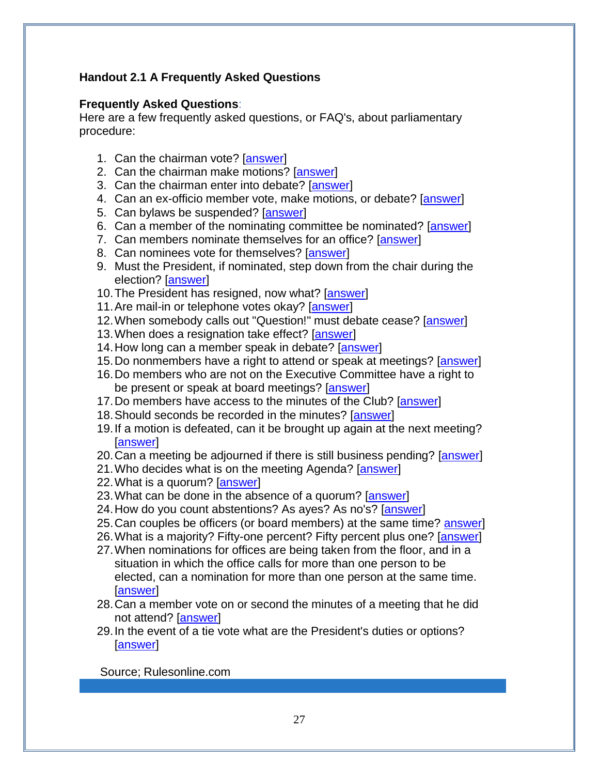## **Handout 2.1 A Frequently Asked Questions**

### **Frequently Asked Questions**:

Here are a few frequently asked questions, or FAQ's, about parliamentary procedure:

- 1. Can the chairman vote? [\[answer\]](http://www.parlipro.org/faqanswers.htm#chairman vote)
- 2. Can the chairman make motions? [\[answer\]](http://www.parlipro.org/faqanswers.htm#chairman make motions)
- 3. Can the chairman enter into debate? [\[answer\]](http://www.parlipro.org/faqanswers.htm#chairman enter into debate)
- 4. Can an ex-officio member vote, make motions, or debate? [\[answer\]](http://www.parlipro.org/faqanswers.htm#ex-officio member)
- 5. Can bylaws be suspended? [\[answer\]](http://www.parlipro.org/faqanswers.htm#bylaws be suspended)
- 6. Can a member of the nominating committee be nominated? [\[answer\]](http://www.parlipro.org/faqanswers.htm#nominating committee be nominated)
- 7. Can members nominate themselves for an office? [\[answer\]](http://www.parlipro.org/faqanswers.htm#member nominate themselves)
- 8. Can nominees vote for themselves? [\[answer\]](http://www.parlipro.org/faqanswers.htm#nominees vote for themselves)
- 9. Must the President, if nominated, step down from the chair during the election? [\[answer\]](http://www.parlipro.org/faqanswers.htm#President if nominated step down)
- 10. The President has resigned, now what? [\[answer\]](http://www.parlipro.org/faqanswers.htm#President has resigned)
- 11. Are mail-in or telephone votes okay? [\[answer\]](http://www.parlipro.org/faqanswers.htm#mail-in or telephone votes)
- 12.When somebody calls out "Question!" must debate cease? [\[answer\]](http://www.parlipro.org/faqanswers.htm#Question must debate cease)
- 13.When does a resignation take effect? [\[answer\]](http://www.parlipro.org/faqanswers.htm#resignation take effect)
- 14. How long can a member speak in debate? [\[answer\]](http://www.parlipro.org/faqanswers.htm#member speak in debate)
- 15.Do nonmembers have a right to attend or speak at meetings? [\[answer\]](http://www.parlipro.org/faqanswers.htm#nonmembers have a right)
- 16.Do members who are not on the Executive Committee have a right to be present or speak at board meetings? [\[answer\]](http://www.parlipro.org/faqanswers.htm#members who are not members)
- 17.Do members have access to the minutes of the Club? [\[answer\]](http://www.parlipro.org/faqanswers.htm#minutes of the Board of Directors)
- 18.Should seconds be recorded in the minutes? [\[answer\]](http://www.parlipro.org/faqanswers.htm#seconds be recorded)
- 19.If a motion is defeated, can it be brought up again at the next meeting? **Tanswerl**
- 20.Can a meeting be adjourned if there is still business pending? [\[answer\]](http://www.parlipro.org/faqanswers.htm#adjourned if there is still business)
- 21.Who decides what is on the meeting Agenda? [\[answer\]](http://www.parlipro.org/faqanswers.htm#decides what is on the meeting Agenda)
- 22.What is a quorum? [\[answer\]](http://www.parlipro.org/faqanswers.htm#What is a quorum)
- 23. What can be done in the absence of a quorum? [\[answer\]](http://www.parlipro.org/faqanswers.htm#absence of a quorum)
- 24.How do you count abstentions? As ayes? As no's? [\[answer\]](http://www.parlipro.org/faqanswers.htm#abstentions)
- 25.Can couples be officers (or board members) at the same time? [answer\]](http://www.parlipro.org/faqanswers.htm#married couples be officers)
- 26.What is a majority? Fifty-one percent? Fifty percent plus one? [\[answer\]](http://www.parlipro.org/faqanswers.htm#majority)
- 27.When nominations for offices are being taken from the floor, and in a situation in which the office calls for more than one person to be elected, can a nomination for more than one person at the same time. [\[answer\]](http://www.parlipro.org/faqanswers.htm#nominations for offices)
- 28.Can a member vote on or second the minutes of a meeting that he did not attend? [\[answer\]](http://www.parlipro.org/faqanswers.htm#the minutes)
- 29.In the event of a tie vote what are the President's duties or options? [\[answer\]](http://www.parlipro.org/faqanswers.htm#tie vote)

Source; Rulesonline.com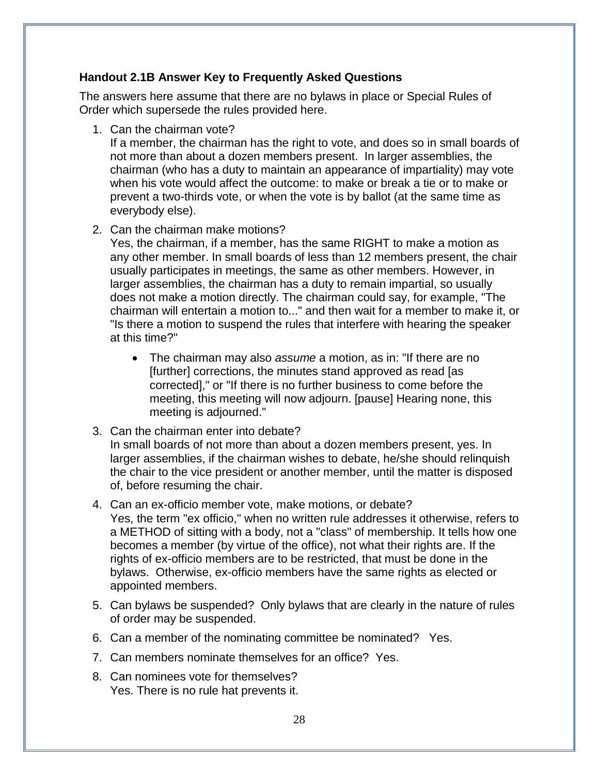#### **Handout 2.1B Answer Key to Frequently Asked Questions**

The answers here assume that there are no bylaws in place or Special Rules of Order which supersede the rules provided here.

1. Can the chairman vote?

If a member, the chairman has the right to vote, and does so in small boards of not more than about a dozen members present. In larger assemblies, the chairman (who has a duty to maintain an appearance of impartiality) may vote when his vote would affect the outcome: to make or break a tie or to make or prevent a two-thirds vote, or when the vote is by ballot (at the same time as everybody else).

2. Can the chairman make motions?

Yes, the chairman, if a member, has the same RIGHT to make a motion as any other member. In small boards of less than 12 members present, the chair usually participates in meetings, the same as other members. However, in larger assemblies, the chairman has a duty to remain impartial, so usually does not make a motion directly. The chairman could say, for example, "The chairman will entertain a motion to..." and then wait for a member to make it, or "Is there a motion to suspend the rules that interfere with hearing the speaker at this time?"

- The chairman may also *assume* a motion, as in: "If there are no [further] corrections, the minutes stand approved as read [as corrected]," or "If there is no further business to come before the meeting, this meeting will now adjourn. [pause] Hearing none, this meeting is adjourned."
- 3. Can the chairman enter into debate? In small boards of not more than about a dozen members present, yes. In larger assemblies, if the chairman wishes to debate, he/she should relinquish the chair to the vice president or another member, until the matter is disposed of, before resuming the chair.
- 4. Can an ex-officio member vote, make motions, or debate? Yes, the term "ex officio," when no written rule addresses it otherwise, refers to a METHOD of sitting with a body, not a "class" of membership. It tells how one becomes a member (by virtue of the office), not what their rights are. If the rights of ex-officio members are to be restricted, that must be done in the bylaws. Otherwise, ex-officio members have the same rights as elected or appointed members.
- 5. Can bylaws be suspended? Only bylaws that are clearly in the nature of rules of order may be suspended.
- 6. Can a member of the nominating committee be nominated? Yes.
- 7. Can members nominate themselves for an office? Yes.
- 8. Can nominees vote for themselves? Yes. There is no rule hat prevents it.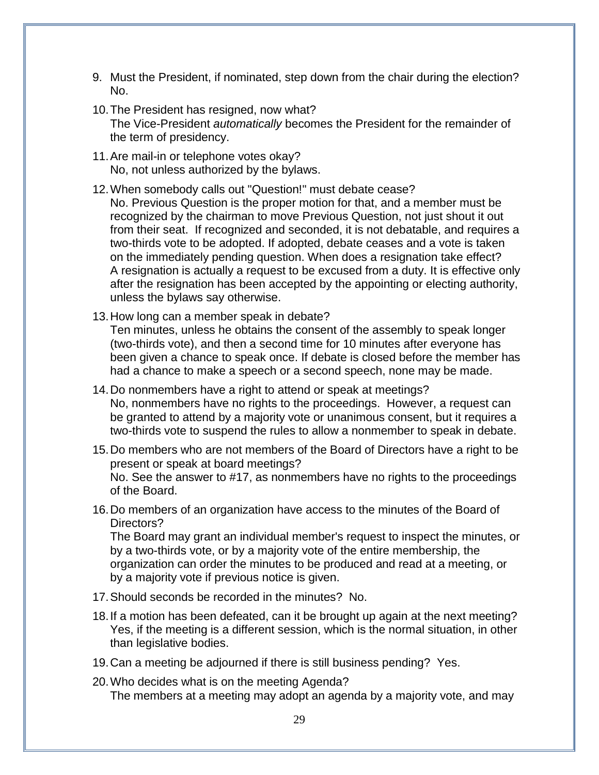- 9. Must the President, if nominated, step down from the chair during the election? No.
- 10.The President has resigned, now what? The Vice-President *automatically* becomes the President for the remainder of the term of presidency.
- 11.Are mail-in or telephone votes okay? No, not unless authorized by the bylaws.
- 12.When somebody calls out "Question!" must debate cease? No. Previous Question is the proper motion for that, and a member must be recognized by the chairman to move Previous Question, not just shout it out from their seat. If recognized and seconded, it is not debatable, and requires a two-thirds vote to be adopted. If adopted, debate ceases and a vote is taken on the immediately pending question. When does a resignation take effect? A resignation is actually a request to be excused from a duty. It is effective only after the resignation has been accepted by the appointing or electing authority, unless the bylaws say otherwise.
- 13.How long can a member speak in debate? Ten minutes, unless he obtains the consent of the assembly to speak longer (two-thirds vote), and then a second time for 10 minutes after everyone has been given a chance to speak once. If debate is closed before the member has had a chance to make a speech or a second speech, none may be made.
- 14.Do nonmembers have a right to attend or speak at meetings? No, nonmembers have no rights to the proceedings. However, a request can be granted to attend by a majority vote or unanimous consent, but it requires a two-thirds vote to suspend the rules to allow a nonmember to speak in debate.
- 15.Do members who are not members of the Board of Directors have a right to be present or speak at board meetings? No. See the answer to #17, as nonmembers have no rights to the proceedings of the Board.
- 16.Do members of an organization have access to the minutes of the Board of Directors?

The Board may grant an individual member's request to inspect the minutes, or by a two-thirds vote, or by a majority vote of the entire membership, the organization can order the minutes to be produced and read at a meeting, or by a majority vote if previous notice is given.

- 17.Should seconds be recorded in the minutes? No.
- 18.If a motion has been defeated, can it be brought up again at the next meeting? Yes, if the meeting is a different session, which is the normal situation, in other than legislative bodies.
- 19.Can a meeting be adjourned if there is still business pending? Yes.
- 20.Who decides what is on the meeting Agenda? The members at a meeting may adopt an agenda by a majority vote, and may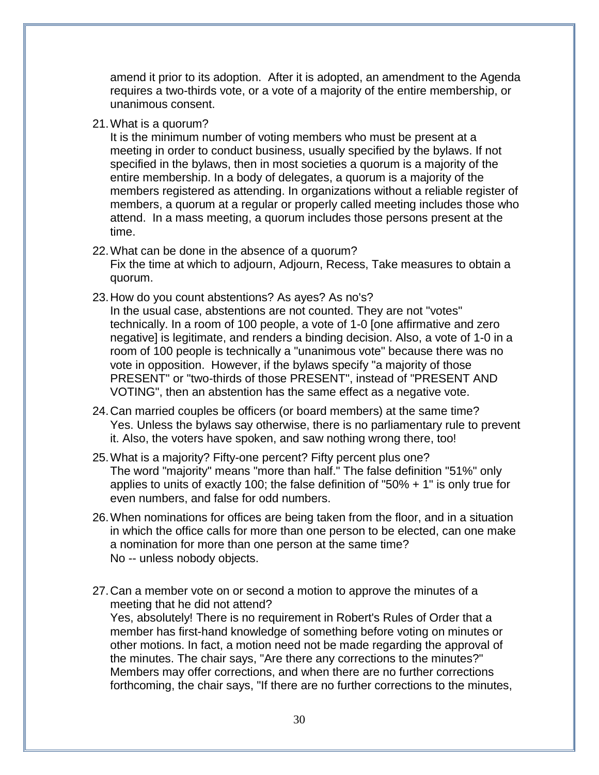amend it prior to its adoption. After it is adopted, an amendment to the Agenda requires a two-thirds vote, or a vote of a majority of the entire membership, or unanimous consent.

21.What is a quorum?

It is the minimum number of voting members who must be present at a meeting in order to conduct business, usually specified by the bylaws. If not specified in the bylaws, then in most societies a quorum is a majority of the entire membership. In a body of delegates, a quorum is a majority of the members registered as attending. In organizations without a reliable register of members, a quorum at a regular or properly called meeting includes those who attend. In a mass meeting, a quorum includes those persons present at the time.

#### 22.What can be done in the absence of a quorum?

Fix the time at which to adjourn, Adjourn, Recess, Take measures to obtain a quorum.

23.How do you count abstentions? As ayes? As no's?

In the usual case, abstentions are not counted. They are not "votes" technically. In a room of 100 people, a vote of 1-0 [one affirmative and zero negative] is legitimate, and renders a binding decision. Also, a vote of 1-0 in a room of 100 people is technically a "unanimous vote" because there was no vote in opposition. However, if the bylaws specify "a majority of those PRESENT" or "two-thirds of those PRESENT", instead of "PRESENT AND VOTING", then an abstention has the same effect as a negative vote.

- 24.Can married couples be officers (or board members) at the same time? Yes. Unless the bylaws say otherwise, there is no parliamentary rule to prevent it. Also, the voters have spoken, and saw nothing wrong there, too!
- 25.What is a majority? Fifty-one percent? Fifty percent plus one? The word "majority" means "more than half." The false definition "51%" only applies to units of exactly 100; the false definition of "50% + 1" is only true for even numbers, and false for odd numbers.
- 26.When nominations for offices are being taken from the floor, and in a situation in which the office calls for more than one person to be elected, can one make a nomination for more than one person at the same time? No -- unless nobody objects.
- 27.Can a member vote on or second a motion to approve the minutes of a meeting that he did not attend? Yes, absolutely! There is no requirement in Robert's Rules of Order that a member has first-hand knowledge of something before voting on minutes or other motions. In fact, a motion need not be made regarding the approval of the minutes. The chair says, "Are there any corrections to the minutes?" Members may offer corrections, and when there are no further corrections forthcoming, the chair says, "If there are no further corrections to the minutes,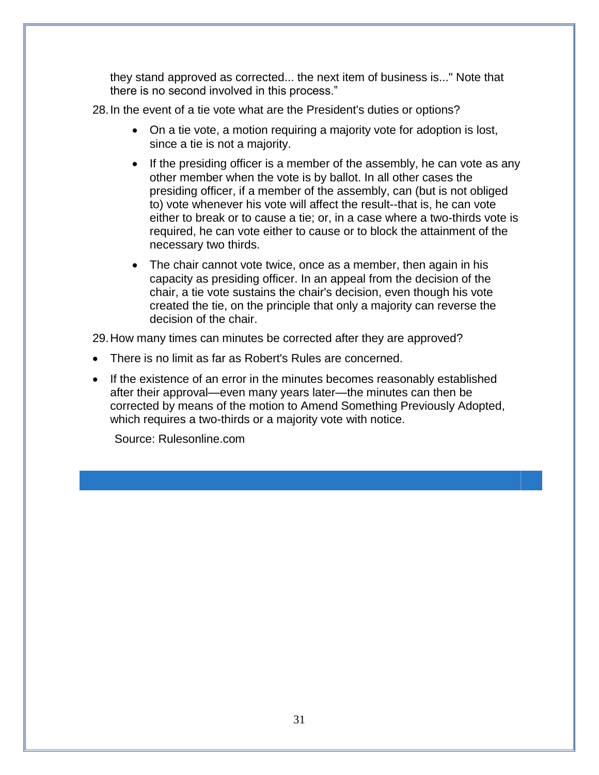they stand approved as corrected... the next item of business is..." Note that there is no second involved in this process."

28.In the event of a tie vote what are the President's duties or options?

- On a tie vote, a motion requiring a majority vote for adoption is lost, since a tie is not a majority.
- If the presiding officer is a member of the assembly, he can vote as any other member when the vote is by ballot. In all other cases the presiding officer, if a member of the assembly, can (but is not obliged to) vote whenever his vote will affect the result--that is, he can vote either to break or to cause a tie; or, in a case where a two-thirds vote is required, he can vote either to cause or to block the attainment of the necessary two thirds.
- The chair cannot vote twice, once as a member, then again in his capacity as presiding officer. In an appeal from the decision of the chair, a tie vote sustains the chair's decision, even though his vote created the tie, on the principle that only a majority can reverse the decision of the chair.

29.How many times can minutes be corrected after they are approved?

- There is no limit as far as Robert's Rules are concerned.
- If the existence of an error in the minutes becomes reasonably established after their approval—even many years later—the minutes can then be corrected by means of the motion to Amend Something Previously Adopted, which requires a two-thirds or a majority vote with notice.

Source: Rulesonline.com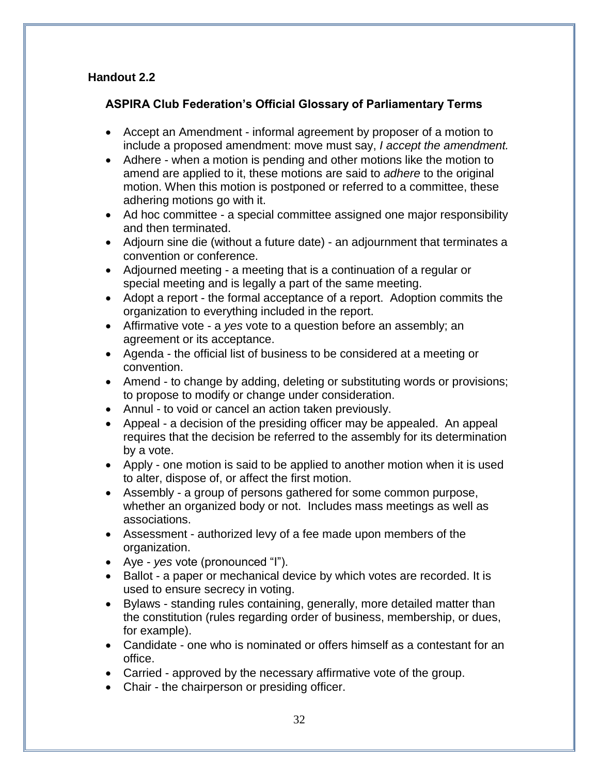## **Handout 2.2**

## **ASPIRA Club Federation's Official Glossary of Parliamentary Terms**

- Accept an Amendment informal agreement by proposer of a motion to include a proposed amendment: move must say, *I accept the amendment.*
- Adhere when a motion is pending and other motions like the motion to amend are applied to it, these motions are said to *adhere* to the original motion. When this motion is postponed or referred to a committee, these adhering motions go with it.
- Ad hoc committee a special committee assigned one major responsibility and then terminated.
- Adjourn sine die (without a future date) an adjournment that terminates a convention or conference.
- Adjourned meeting a meeting that is a continuation of a regular or special meeting and is legally a part of the same meeting.
- Adopt a report the formal acceptance of a report. Adoption commits the organization to everything included in the report.
- Affirmative vote a *yes* vote to a question before an assembly; an agreement or its acceptance.
- Agenda the official list of business to be considered at a meeting or convention.
- Amend to change by adding, deleting or substituting words or provisions; to propose to modify or change under consideration.
- Annul to void or cancel an action taken previously.
- Appeal a decision of the presiding officer may be appealed. An appeal requires that the decision be referred to the assembly for its determination by a vote.
- Apply one motion is said to be applied to another motion when it is used to alter, dispose of, or affect the first motion.
- Assembly a group of persons gathered for some common purpose, whether an organized body or not. Includes mass meetings as well as associations.
- Assessment authorized levy of a fee made upon members of the organization.
- Aye *yes* vote (pronounced "I").
- Ballot a paper or mechanical device by which votes are recorded. It is used to ensure secrecy in voting.
- Bylaws standing rules containing, generally, more detailed matter than the constitution (rules regarding order of business, membership, or dues, for example).
- Candidate one who is nominated or offers himself as a contestant for an office.
- Carried approved by the necessary affirmative vote of the group.
- Chair the chairperson or presiding officer.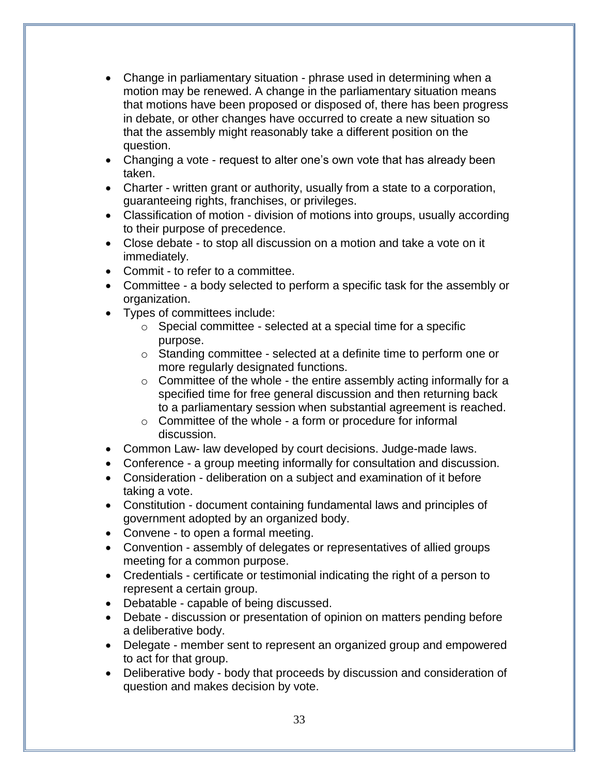- Change in parliamentary situation phrase used in determining when a motion may be renewed. A change in the parliamentary situation means that motions have been proposed or disposed of, there has been progress in debate, or other changes have occurred to create a new situation so that the assembly might reasonably take a different position on the question.
- Changing a vote request to alter one's own vote that has already been taken.
- Charter written grant or authority, usually from a state to a corporation, guaranteeing rights, franchises, or privileges.
- Classification of motion division of motions into groups, usually according to their purpose of precedence.
- Close debate to stop all discussion on a motion and take a vote on it immediately.
- Commit to refer to a committee.
- Committee a body selected to perform a specific task for the assembly or organization.
- Types of committees include:
	- o Special committee selected at a special time for a specific purpose.
	- o Standing committee selected at a definite time to perform one or more regularly designated functions.
	- $\circ$  Committee of the whole the entire assembly acting informally for a specified time for free general discussion and then returning back to a parliamentary session when substantial agreement is reached.
	- $\circ$  Committee of the whole a form or procedure for informal discussion.
- Common Law- law developed by court decisions. Judge-made laws.
- Conference a group meeting informally for consultation and discussion.
- Consideration deliberation on a subject and examination of it before taking a vote.
- Constitution document containing fundamental laws and principles of government adopted by an organized body.
- Convene to open a formal meeting.
- Convention assembly of delegates or representatives of allied groups meeting for a common purpose.
- Credentials certificate or testimonial indicating the right of a person to represent a certain group.
- Debatable capable of being discussed.
- Debate discussion or presentation of opinion on matters pending before a deliberative body.
- Delegate member sent to represent an organized group and empowered to act for that group.
- Deliberative body body that proceeds by discussion and consideration of question and makes decision by vote.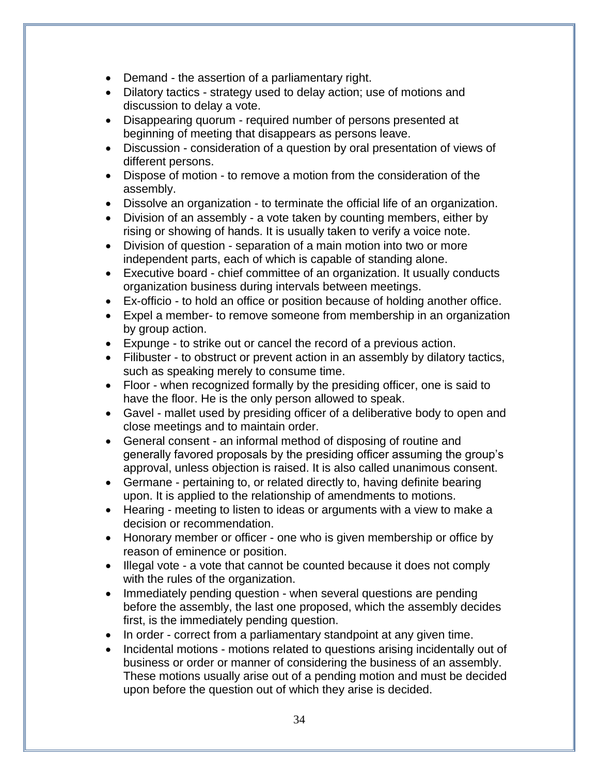- Demand the assertion of a parliamentary right.
- Dilatory tactics strategy used to delay action; use of motions and discussion to delay a vote.
- Disappearing quorum required number of persons presented at beginning of meeting that disappears as persons leave.
- Discussion consideration of a question by oral presentation of views of different persons.
- Dispose of motion to remove a motion from the consideration of the assembly.
- Dissolve an organization to terminate the official life of an organization.
- Division of an assembly a vote taken by counting members, either by rising or showing of hands. It is usually taken to verify a voice note.
- Division of question separation of a main motion into two or more independent parts, each of which is capable of standing alone.
- Executive board chief committee of an organization. It usually conducts organization business during intervals between meetings.
- Ex-officio to hold an office or position because of holding another office.
- Expel a member- to remove someone from membership in an organization by group action.
- Expunge to strike out or cancel the record of a previous action.
- Filibuster to obstruct or prevent action in an assembly by dilatory tactics, such as speaking merely to consume time.
- Floor when recognized formally by the presiding officer, one is said to have the floor. He is the only person allowed to speak.
- Gavel mallet used by presiding officer of a deliberative body to open and close meetings and to maintain order.
- General consent an informal method of disposing of routine and generally favored proposals by the presiding officer assuming the group's approval, unless objection is raised. It is also called unanimous consent.
- Germane pertaining to, or related directly to, having definite bearing upon. It is applied to the relationship of amendments to motions.
- Hearing meeting to listen to ideas or arguments with a view to make a decision or recommendation.
- Honorary member or officer one who is given membership or office by reason of eminence or position.
- Illegal vote a vote that cannot be counted because it does not comply with the rules of the organization.
- Immediately pending question when several questions are pending before the assembly, the last one proposed, which the assembly decides first, is the immediately pending question.
- In order correct from a parliamentary standpoint at any given time.
- Incidental motions motions related to questions arising incidentally out of business or order or manner of considering the business of an assembly. These motions usually arise out of a pending motion and must be decided upon before the question out of which they arise is decided.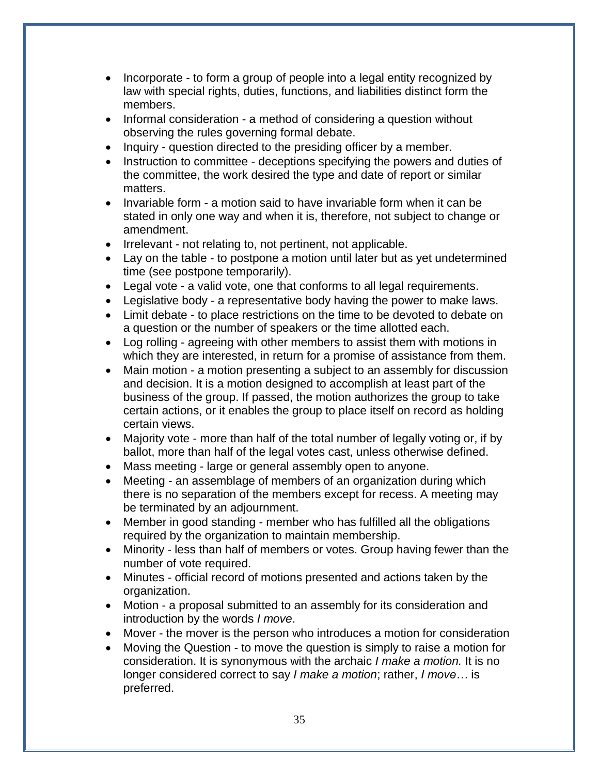- Incorporate to form a group of people into a legal entity recognized by law with special rights, duties, functions, and liabilities distinct form the members.
- Informal consideration a method of considering a question without observing the rules governing formal debate.
- Inquiry question directed to the presiding officer by a member.
- Instruction to committee deceptions specifying the powers and duties of the committee, the work desired the type and date of report or similar matters.
- Invariable form a motion said to have invariable form when it can be stated in only one way and when it is, therefore, not subject to change or amendment.
- Irrelevant not relating to, not pertinent, not applicable.
- Lay on the table to postpone a motion until later but as yet undetermined time (see postpone temporarily).
- Legal vote a valid vote, one that conforms to all legal requirements.
- Legislative body a representative body having the power to make laws.
- Limit debate to place restrictions on the time to be devoted to debate on a question or the number of speakers or the time allotted each.
- Log rolling agreeing with other members to assist them with motions in which they are interested, in return for a promise of assistance from them.
- Main motion a motion presenting a subject to an assembly for discussion and decision. It is a motion designed to accomplish at least part of the business of the group. If passed, the motion authorizes the group to take certain actions, or it enables the group to place itself on record as holding certain views.
- Majority vote more than half of the total number of legally voting or, if by ballot, more than half of the legal votes cast, unless otherwise defined.
- Mass meeting large or general assembly open to anyone.
- Meeting an assemblage of members of an organization during which there is no separation of the members except for recess. A meeting may be terminated by an adjournment.
- Member in good standing member who has fulfilled all the obligations required by the organization to maintain membership.
- Minority less than half of members or votes. Group having fewer than the number of vote required.
- Minutes official record of motions presented and actions taken by the organization.
- Motion a proposal submitted to an assembly for its consideration and introduction by the words *I move*.
- Mover the mover is the person who introduces a motion for consideration
- Moving the Question to move the question is simply to raise a motion for consideration. It is synonymous with the archaic *I make a motion.* It is no longer considered correct to say *I make a motion*; rather, *I move…* is preferred.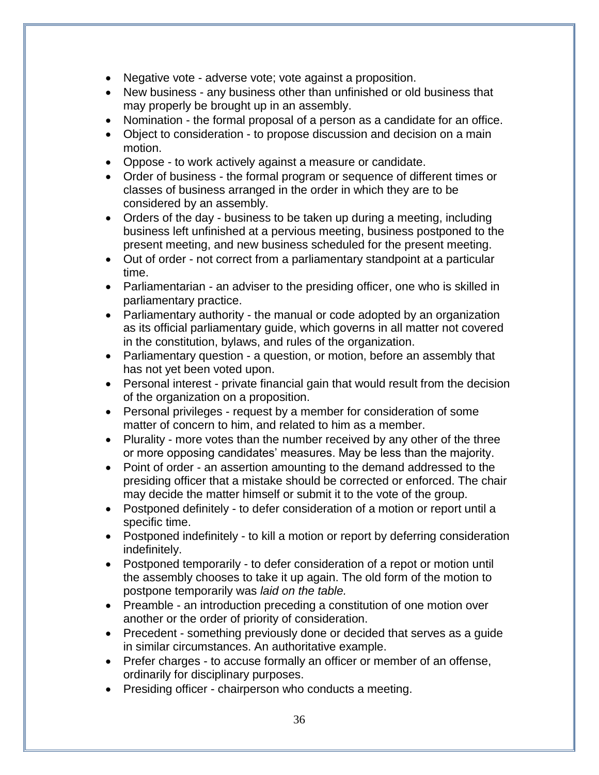- Negative vote adverse vote; vote against a proposition.
- New business any business other than unfinished or old business that may properly be brought up in an assembly.
- Nomination the formal proposal of a person as a candidate for an office.
- Object to consideration to propose discussion and decision on a main motion.
- Oppose to work actively against a measure or candidate.
- Order of business the formal program or sequence of different times or classes of business arranged in the order in which they are to be considered by an assembly.
- Orders of the day business to be taken up during a meeting, including business left unfinished at a pervious meeting, business postponed to the present meeting, and new business scheduled for the present meeting.
- Out of order not correct from a parliamentary standpoint at a particular time.
- Parliamentarian an adviser to the presiding officer, one who is skilled in parliamentary practice.
- Parliamentary authority the manual or code adopted by an organization as its official parliamentary guide, which governs in all matter not covered in the constitution, bylaws, and rules of the organization.
- Parliamentary question a question, or motion, before an assembly that has not yet been voted upon.
- Personal interest private financial gain that would result from the decision of the organization on a proposition.
- Personal privileges request by a member for consideration of some matter of concern to him, and related to him as a member.
- Plurality more votes than the number received by any other of the three or more opposing candidates' measures. May be less than the majority.
- Point of order an assertion amounting to the demand addressed to the presiding officer that a mistake should be corrected or enforced. The chair may decide the matter himself or submit it to the vote of the group.
- Postponed definitely to defer consideration of a motion or report until a specific time.
- Postponed indefinitely to kill a motion or report by deferring consideration indefinitely.
- Postponed temporarily to defer consideration of a repot or motion until the assembly chooses to take it up again. The old form of the motion to postpone temporarily was *laid on the table.*
- Preamble an introduction preceding a constitution of one motion over another or the order of priority of consideration.
- Precedent something previously done or decided that serves as a quide in similar circumstances. An authoritative example.
- Prefer charges to accuse formally an officer or member of an offense, ordinarily for disciplinary purposes.
- Presiding officer chairperson who conducts a meeting.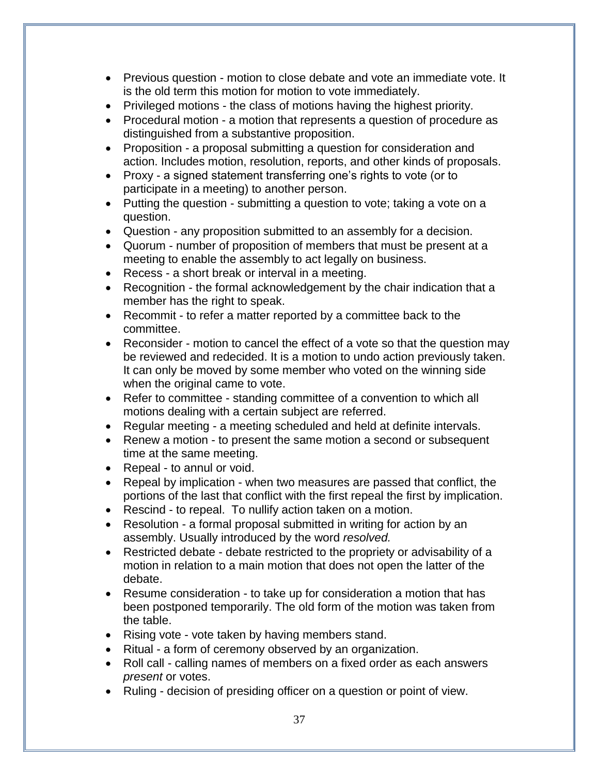- Previous question motion to close debate and vote an immediate vote. It is the old term this motion for motion to vote immediately.
- Privileged motions the class of motions having the highest priority.
- Procedural motion a motion that represents a question of procedure as distinguished from a substantive proposition.
- Proposition a proposal submitting a question for consideration and action. Includes motion, resolution, reports, and other kinds of proposals.
- Proxy a signed statement transferring one's rights to vote (or to participate in a meeting) to another person.
- Putting the question submitting a question to vote; taking a vote on a question.
- Question any proposition submitted to an assembly for a decision.
- Quorum number of proposition of members that must be present at a meeting to enable the assembly to act legally on business.
- Recess a short break or interval in a meeting.
- Recognition the formal acknowledgement by the chair indication that a member has the right to speak.
- Recommit to refer a matter reported by a committee back to the committee.
- Reconsider motion to cancel the effect of a vote so that the question may be reviewed and redecided. It is a motion to undo action previously taken. It can only be moved by some member who voted on the winning side when the original came to vote.
- Refer to committee standing committee of a convention to which all motions dealing with a certain subject are referred.
- Regular meeting a meeting scheduled and held at definite intervals.
- Renew a motion to present the same motion a second or subsequent time at the same meeting.
- Repeal to annul or void.
- Repeal by implication when two measures are passed that conflict, the portions of the last that conflict with the first repeal the first by implication.
- Rescind to repeal. To nullify action taken on a motion.
- Resolution a formal proposal submitted in writing for action by an assembly. Usually introduced by the word *resolved.*
- Restricted debate debate restricted to the propriety or advisability of a motion in relation to a main motion that does not open the latter of the debate.
- Resume consideration to take up for consideration a motion that has been postponed temporarily. The old form of the motion was taken from the table.
- Rising vote vote taken by having members stand.
- Ritual a form of ceremony observed by an organization.
- Roll call calling names of members on a fixed order as each answers *present* or votes.
- Ruling decision of presiding officer on a question or point of view.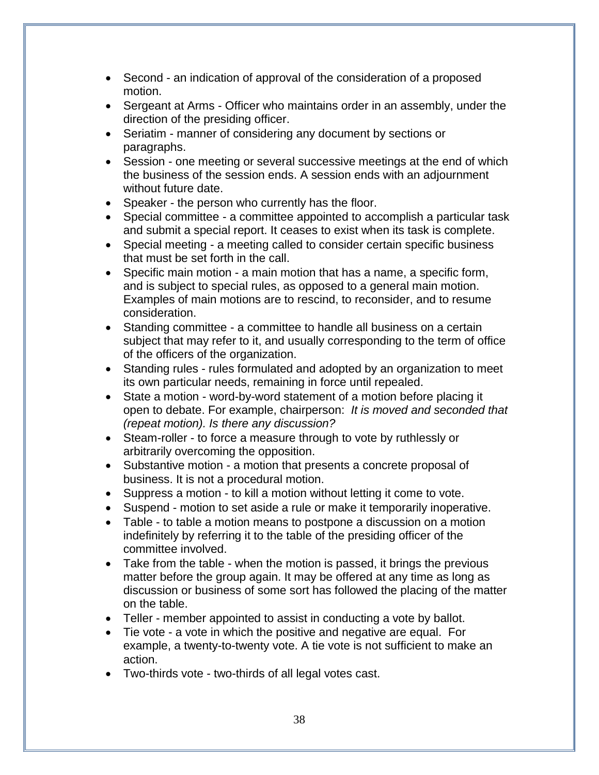- Second an indication of approval of the consideration of a proposed motion.
- Sergeant at Arms Officer who maintains order in an assembly, under the direction of the presiding officer.
- Seriatim manner of considering any document by sections or paragraphs.
- Session one meeting or several successive meetings at the end of which the business of the session ends. A session ends with an adjournment without future date.
- Speaker the person who currently has the floor.
- Special committee a committee appointed to accomplish a particular task and submit a special report. It ceases to exist when its task is complete.
- Special meeting a meeting called to consider certain specific business that must be set forth in the call.
- Specific main motion a main motion that has a name, a specific form, and is subject to special rules, as opposed to a general main motion. Examples of main motions are to rescind, to reconsider, and to resume consideration.
- Standing committee a committee to handle all business on a certain subject that may refer to it, and usually corresponding to the term of office of the officers of the organization.
- Standing rules rules formulated and adopted by an organization to meet its own particular needs, remaining in force until repealed.
- State a motion word-by-word statement of a motion before placing it open to debate. For example, chairperson: *It is moved and seconded that (repeat motion). Is there any discussion?*
- Steam-roller to force a measure through to vote by ruthlessly or arbitrarily overcoming the opposition.
- Substantive motion a motion that presents a concrete proposal of business. It is not a procedural motion.
- Suppress a motion to kill a motion without letting it come to vote.
- Suspend motion to set aside a rule or make it temporarily inoperative.
- Table to table a motion means to postpone a discussion on a motion indefinitely by referring it to the table of the presiding officer of the committee involved.
- Take from the table when the motion is passed, it brings the previous matter before the group again. It may be offered at any time as long as discussion or business of some sort has followed the placing of the matter on the table.
- Teller member appointed to assist in conducting a vote by ballot.
- Tie vote a vote in which the positive and negative are equal. For example, a twenty-to-twenty vote. A tie vote is not sufficient to make an action.
- Two-thirds vote two-thirds of all legal votes cast.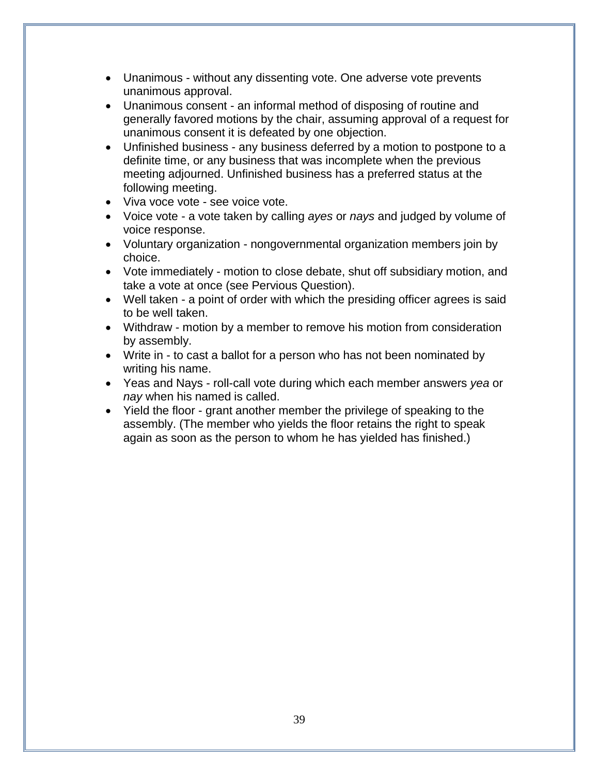- Unanimous without any dissenting vote. One adverse vote prevents unanimous approval.
- Unanimous consent an informal method of disposing of routine and generally favored motions by the chair, assuming approval of a request for unanimous consent it is defeated by one objection.
- Unfinished business any business deferred by a motion to postpone to a definite time, or any business that was incomplete when the previous meeting adjourned. Unfinished business has a preferred status at the following meeting.
- Viva voce vote see voice vote.
- Voice vote a vote taken by calling *ayes* or *nays* and judged by volume of voice response.
- Voluntary organization nongovernmental organization members join by choice.
- Vote immediately motion to close debate, shut off subsidiary motion, and take a vote at once (see Pervious Question).
- Well taken a point of order with which the presiding officer agrees is said to be well taken.
- Withdraw motion by a member to remove his motion from consideration by assembly.
- Write in to cast a ballot for a person who has not been nominated by writing his name.
- Yeas and Nays roll-call vote during which each member answers *yea* or *nay* when his named is called.
- Yield the floor grant another member the privilege of speaking to the assembly. (The member who yields the floor retains the right to speak again as soon as the person to whom he has yielded has finished.)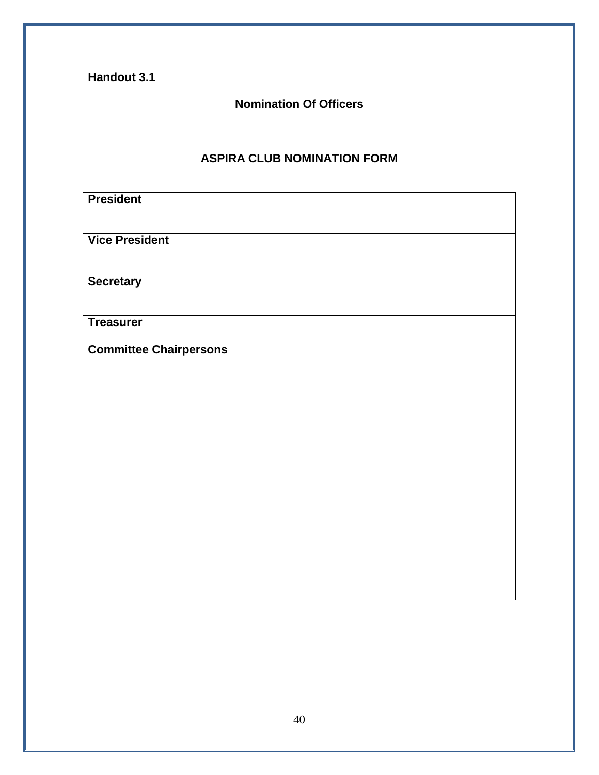**Handout 3.1** 

## **Nomination Of Officers**

## **ASPIRA CLUB NOMINATION FORM**

| <b>President</b>              |  |
|-------------------------------|--|
| <b>Vice President</b>         |  |
| <b>Secretary</b>              |  |
| <b>Treasurer</b>              |  |
| <b>Committee Chairpersons</b> |  |
|                               |  |
|                               |  |
|                               |  |
|                               |  |
|                               |  |
|                               |  |
|                               |  |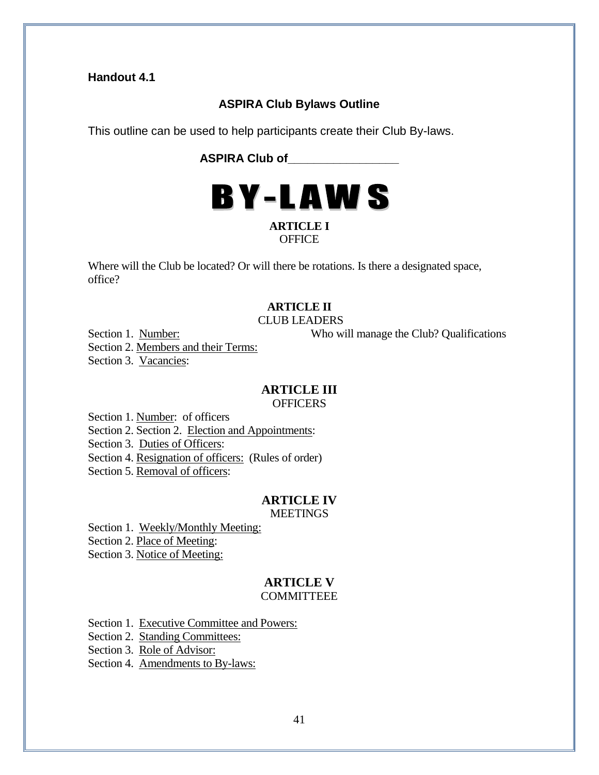#### **Handout 4.1**

#### **ASPIRA Club Bylaws Outline**

This outline can be used to help participants create their Club By-laws.

**ASPIRA Club of\_\_\_\_\_\_\_\_\_\_\_\_\_\_\_\_\_**



#### **OFFICE**

Where will the Club be located? Or will there be rotations. Is there a designated space, office?

### **ARTICLE II**

CLUB LEADERS

Section 1. Number: Who will manage the Club? Qualifications

Section 2. Members and their Terms:

Section 3. Vacancies:

#### **ARTICLE III**

**OFFICERS** 

Section 1. Number: of officers

Section 2. Section 2. Election and Appointments:

Section 3. Duties of Officers:

Section 4. Resignation of officers: (Rules of order)

Section 5. Removal of officers:

## **ARTICLE IV**

**MEETINGS** 

Section 1. Weekly/Monthly Meeting:

Section 2. Place of Meeting:

Section 3. Notice of Meeting:

#### **ARTICLE V COMMITTEEE**

Section 1. Executive Committee and Powers:

Section 2. Standing Committees:

Section 3. Role of Advisor:

Section 4. Amendments to By-laws: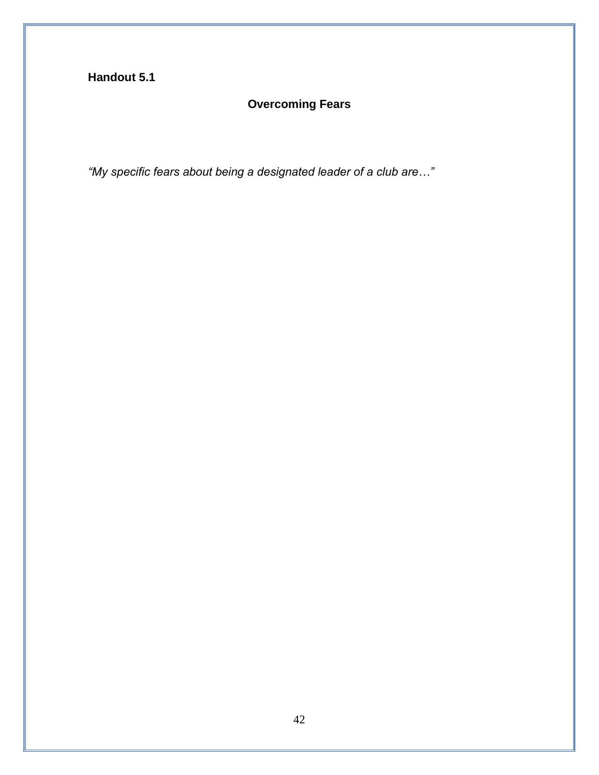## **Handout 5.1**

## **Overcoming Fears**

*"My specific fears about being a designated leader of a club are…"*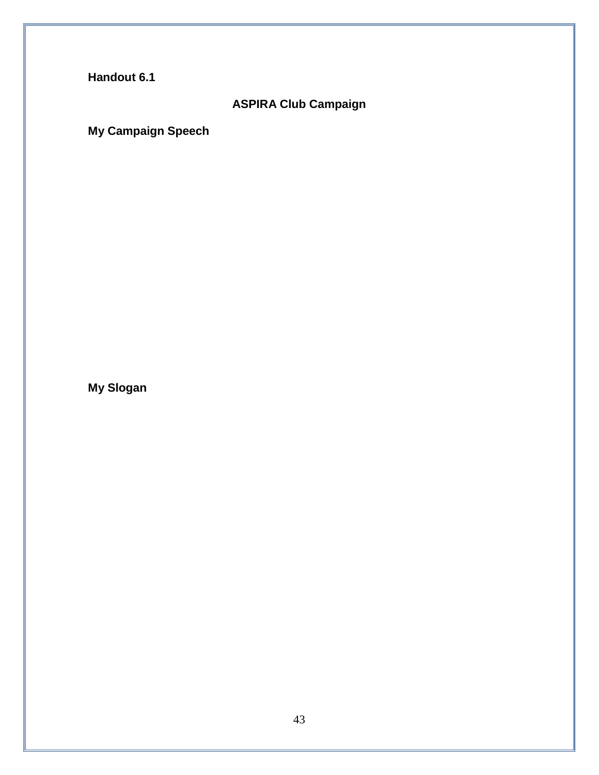**Handout 6.1** 

## **ASPIRA Club Campaign**

**My Campaign Speech**

**My Slogan**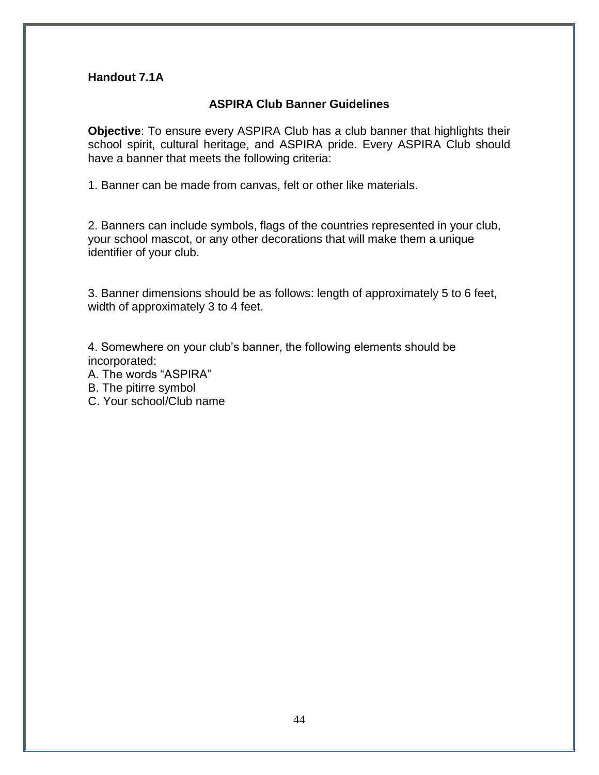#### **Handout 7.1A**

#### **ASPIRA Club Banner Guidelines**

**Objective**: To ensure every ASPIRA Club has a club banner that highlights their school spirit, cultural heritage, and ASPIRA pride. Every ASPIRA Club should have a banner that meets the following criteria:

1. Banner can be made from canvas, felt or other like materials.

2. Banners can include symbols, flags of the countries represented in your club, your school mascot, or any other decorations that will make them a unique identifier of your club.

3. Banner dimensions should be as follows: length of approximately 5 to 6 feet, width of approximately 3 to 4 feet.

4. Somewhere on your club's banner, the following elements should be incorporated:

A. The words "ASPIRA"

B. The pitirre symbol

C. Your school/Club name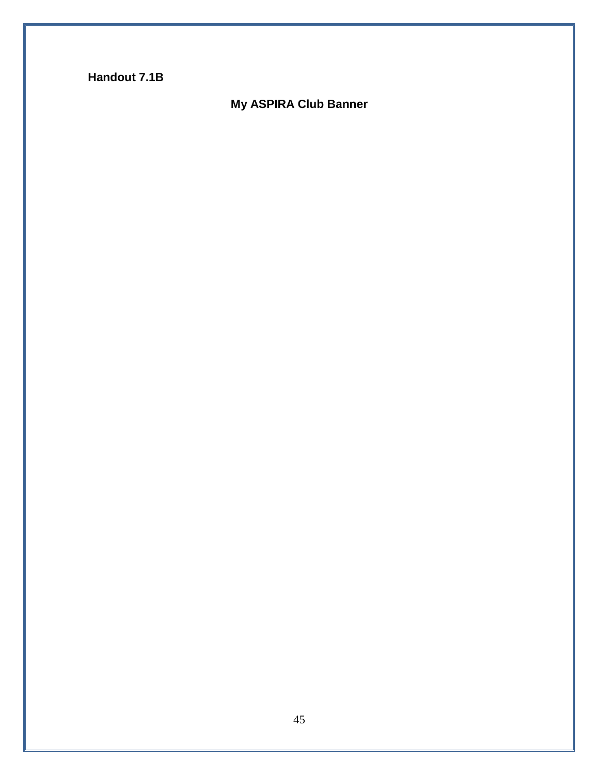**Handout 7.1B**

## **My ASPIRA Club Banner**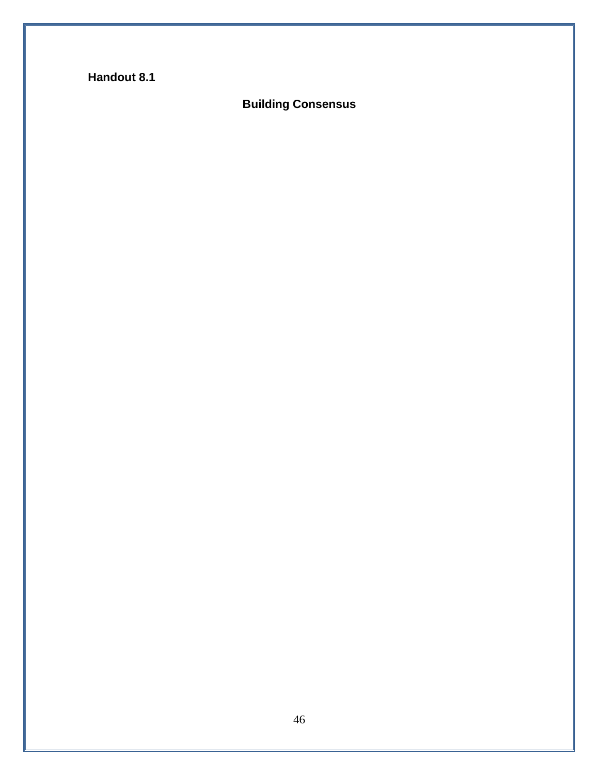## **Handout 8.1**

## **Building Consensus**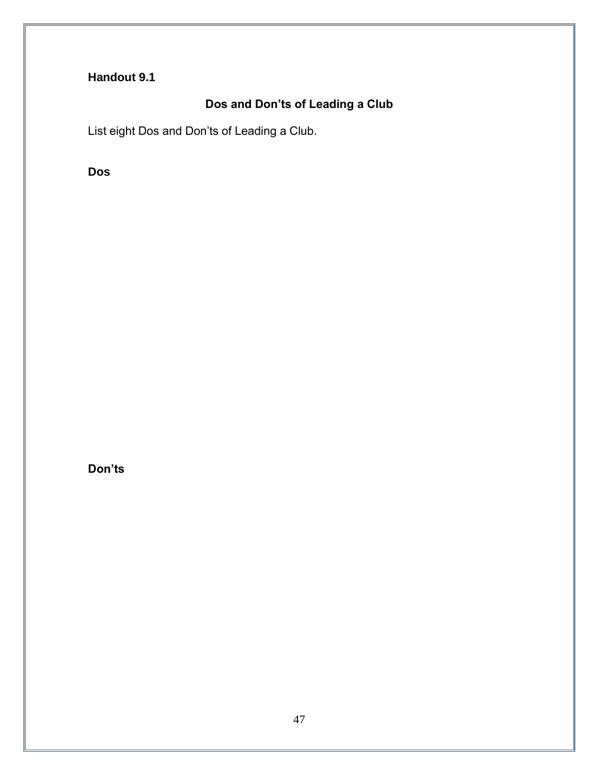## **Handout 9.1**

## **Dos and Don'ts of Leading a Club**

List eight Dos and Don'ts of Leading a Club.

**Dos**

**Don'ts**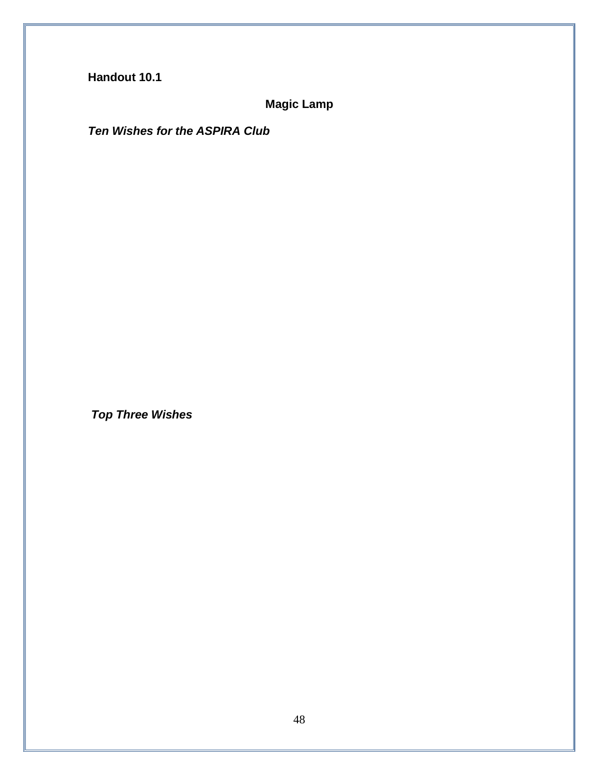**Magic Lamp**

*Ten Wishes for the ASPIRA Club*

*Top Three Wishes*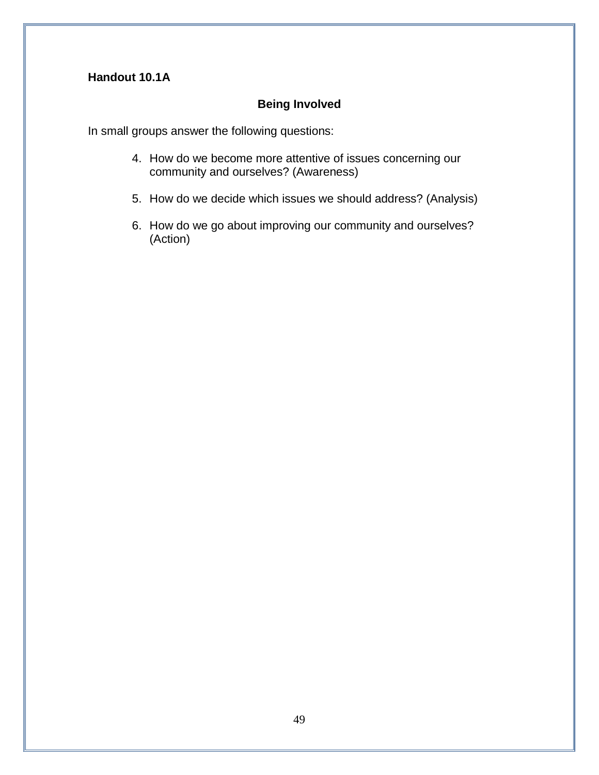## **Handout 10.1A**

## **Being Involved**

In small groups answer the following questions:

- 4. How do we become more attentive of issues concerning our community and ourselves? (Awareness)
- 5. How do we decide which issues we should address? (Analysis)
- 6. How do we go about improving our community and ourselves? (Action)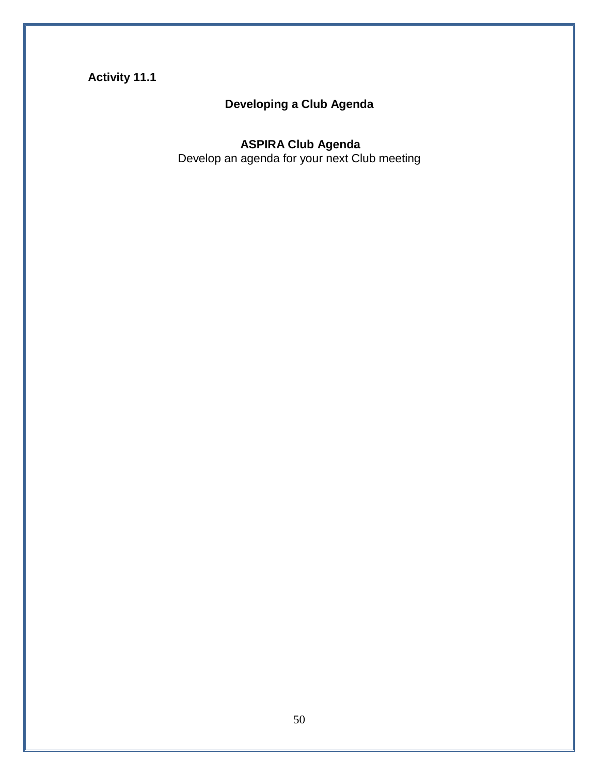## **Activity 11.1**

# **Developing a Club Agenda**

#### **ASPIRA Club Agenda**

Develop an agenda for your next Club meeting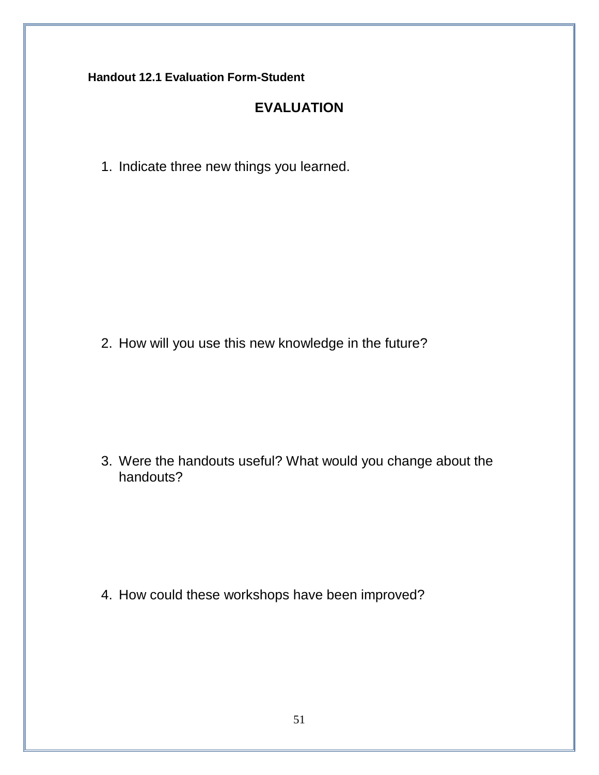**Handout 12.1 Evaluation Form-Student**

## **EVALUATION**

1. Indicate three new things you learned.

2. How will you use this new knowledge in the future?

3. Were the handouts useful? What would you change about the handouts?

4. How could these workshops have been improved?